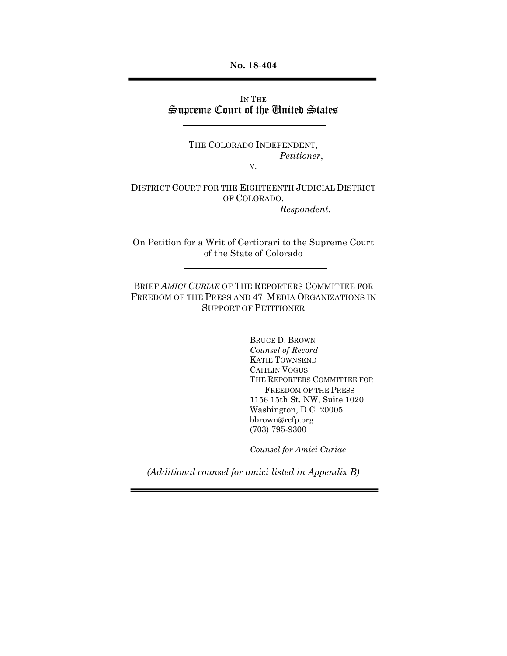**No. 18-404**

IN THE Supreme Court of the United States

> THE COLORADO INDEPENDENT, *Petitioner*,

V.

DISTRICT COURT FOR THE EIGHTEENTH JUDICIAL DISTRICT OF COLORADO, *Respondent*.

On Petition for a Writ of Certiorari to the Supreme Court of the State of Colorado

BRIEF *AMICI CURIAE* OF THE REPORTERS COMMITTEE FOR FREEDOM OF THE PRESS AND 47 MEDIA ORGANIZATIONS IN SUPPORT OF PETITIONER

> BRUCE D. BROWN *Counsel of Record* KATIE TOWNSEND CAITLIN VOGUS THE REPORTERS COMMITTEE FOR FREEDOM OF THE PRESS 1156 15th St. NW, Suite 1020 Washington, D.C. 20005 bbrown@rcfp.org (703) 795-9300

*Counsel for Amici Curiae*

*(Additional counsel for amici listed in Appendix B)*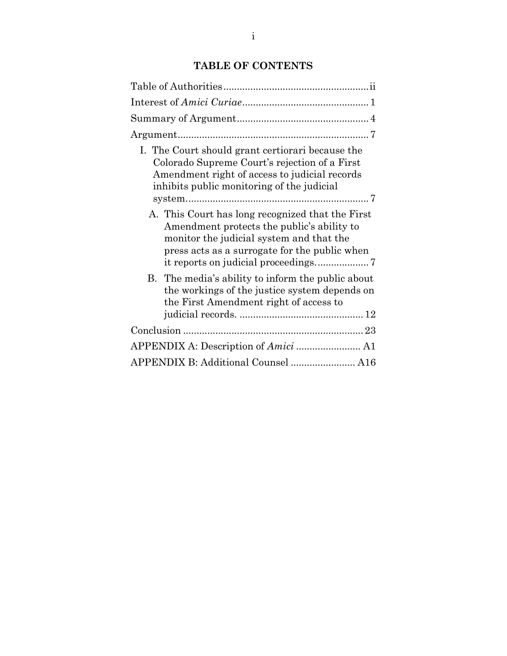## **TABLE OF CONTENTS**

<span id="page-1-0"></span>

| I. The Court should grant certiorari because the<br>Colorado Supreme Court's rejection of a First<br>Amendment right of access to judicial records<br>inhibits public monitoring of the judicial |
|--------------------------------------------------------------------------------------------------------------------------------------------------------------------------------------------------|
| A. This Court has long recognized that the First<br>Amendment protects the public's ability to<br>monitor the judicial system and that the<br>press acts as a surrogate for the public when      |
| B. The media's ability to inform the public about<br>the workings of the justice system depends on<br>the First Amendment right of access to                                                     |
|                                                                                                                                                                                                  |
|                                                                                                                                                                                                  |
| APPENDIX B: Additional Counsel  A16                                                                                                                                                              |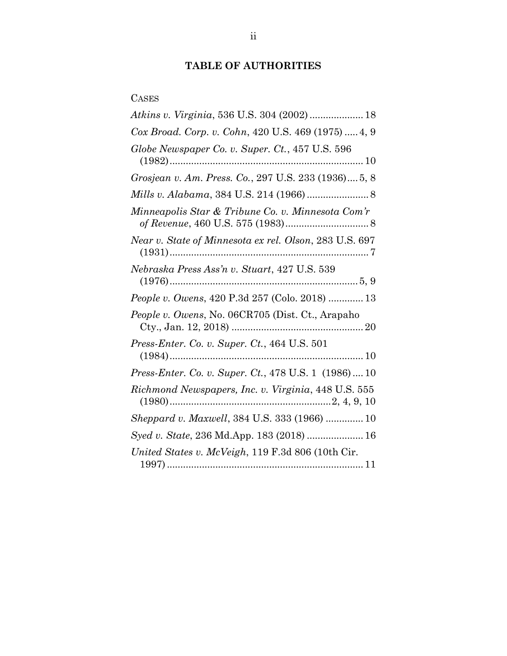# **TABLE OF AUTHORITIES**

# CASES

| Atkins v. Virginia, 536 U.S. 304 (2002)  18            |
|--------------------------------------------------------|
| Cox Broad. Corp. v. Cohn, 420 U.S. 469 (1975)  4, 9    |
| Globe Newspaper Co. v. Super. Ct., 457 U.S. 596        |
| Grosjean v. Am. Press. Co., 297 U.S. 233 (1936) 5, 8   |
|                                                        |
| Minneapolis Star & Tribune Co. v. Minnesota Com'r      |
| Near v. State of Minnesota ex rel. Olson, 283 U.S. 697 |
| Nebraska Press Ass'n v. Stuart, 427 U.S. 539           |
| <i>People v. Owens, 420 P.3d 257 (Colo. 2018)  13</i>  |
| People v. Owens, No. 06CR705 (Dist. Ct., Arapaho       |
| <i>Press-Enter. Co. v. Super. Ct., 464 U.S. 501</i>    |
| Press-Enter. Co. v. Super. Ct., 478 U.S. 1 (1986) 10   |
| Richmond Newspapers, Inc. v. Virginia, 448 U.S. 555    |
| Sheppard v. Maxwell, 384 U.S. 333 (1966)  10           |
| Syed v. State, 236 Md.App. 183 (2018)  16              |
| United States v. McVeigh, 119 F.3d 806 (10th Cir.      |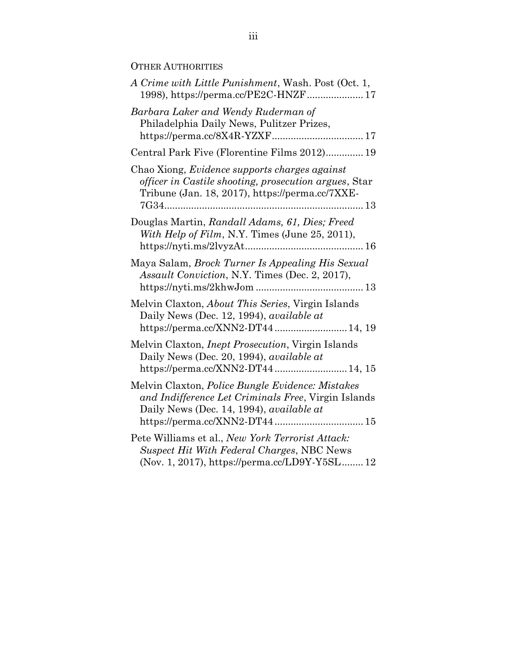## OTHER AUTHORITIES

| A Crime with Little Punishment, Wash. Post (Oct. 1,                                                                                                                                         |
|---------------------------------------------------------------------------------------------------------------------------------------------------------------------------------------------|
| Barbara Laker and Wendy Ruderman of<br>Philadelphia Daily News, Pulitzer Prizes,<br>https://perma.cc/8X4R-YZXF 17                                                                           |
| Central Park Five (Florentine Films 2012) 19                                                                                                                                                |
| Chao Xiong, Evidence supports charges against<br>officer in Castile shooting, prosecution argues, Star<br>Tribune (Jan. 18, 2017), https://perma.cc/7XXE-                                   |
| Douglas Martin, Randall Adams, 61, Dies; Freed<br>With Help of Film, N.Y. Times (June 25, 2011),                                                                                            |
| Maya Salam, Brock Turner Is Appealing His Sexual<br><i>Assault Conviction, N.Y. Times (Dec. 2, 2017),</i>                                                                                   |
| Melvin Claxton, <i>About This Series</i> , Virgin Islands<br>Daily News (Dec. 12, 1994), <i>available at</i><br>https://perma.cc/XNN2-DT44 14, 19                                           |
| Melvin Claxton, <i>Inept Prosecution</i> , Virgin Islands<br>Daily News (Dec. 20, 1994), available at<br>https://perma.cc/XNN2-DT44  14, 15                                                 |
| Melvin Claxton, Police Bungle Evidence: Mistakes<br>and Indifference Let Criminals Free, Virgin Islands<br>Daily News (Dec. 14, 1994), <i>available at</i><br>https://perma.cc/XNN2-DT44 15 |
| Pete Williams et al., New York Terrorist Attack:<br>Suspect Hit With Federal Charges, NBC News<br>(Nov. 1, 2017), https://perma.cc/LD9Y-Y5SL 12                                             |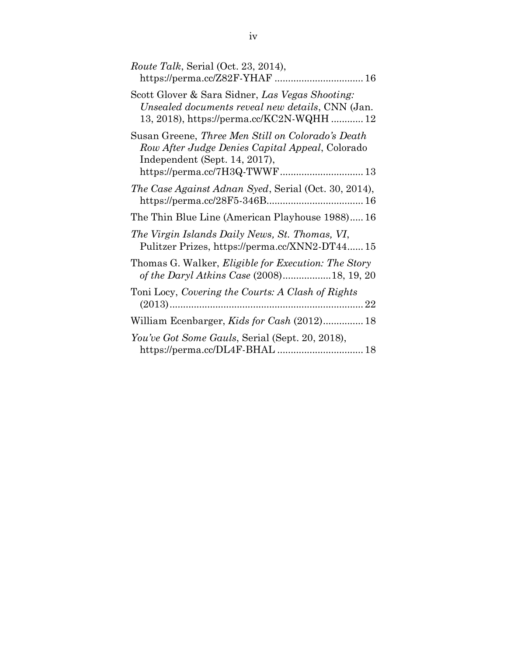| <i>Route Talk, Serial (Oct. 23, 2014),</i><br>https://perma.cc/Z82F-YHAF  16                                                                                           |
|------------------------------------------------------------------------------------------------------------------------------------------------------------------------|
| Scott Glover & Sara Sidner, Las Vegas Shooting:<br>Unsealed documents reveal new details, CNN (Jan.<br>13, 2018), https://perma.cc/KC2N-WQHH 12                        |
| Susan Greene, Three Men Still on Colorado's Death<br>Row After Judge Denies Capital Appeal, Colorado<br>Independent (Sept. 14, 2017),<br>https://perma.cc/7H3Q-TWWF 13 |
| The Case Against Adnan Syed, Serial (Oct. 30, 2014),                                                                                                                   |
| The Thin Blue Line (American Playhouse 1988) 16                                                                                                                        |
| The Virgin Islands Daily News, St. Thomas, VI,<br>Pulitzer Prizes, https://perma.cc/XNN2-DT4415                                                                        |
| Thomas G. Walker, <i>Eligible for Execution: The Story</i><br>of the Daryl Atkins Case (2008)18, 19, 20                                                                |
| Toni Locy, Covering the Courts: A Clash of Rights                                                                                                                      |
| William Ecenbarger, Kids for Cash (2012) 18                                                                                                                            |
| You've Got Some Gauls, Serial (Sept. 20, 2018),<br>https://perma.cc/DL4F-BHAL  18                                                                                      |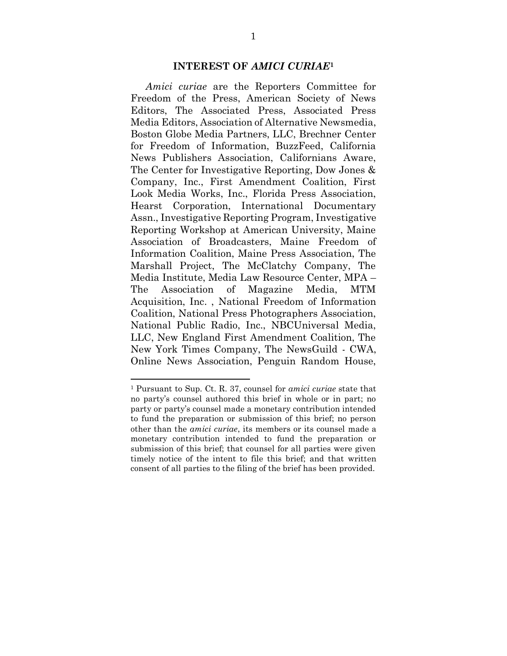#### **INTEREST OF** *AMICI CURIAE***<sup>1</sup>**

<span id="page-5-0"></span>*Amici curiae* are the Reporters Committee for Freedom of the Press, American Society of News Editors, The Associated Press, Associated Press Media Editors, Association of Alternative Newsmedia, Boston Globe Media Partners, LLC, Brechner Center for Freedom of Information, BuzzFeed, California News Publishers Association, Californians Aware, The Center for Investigative Reporting, Dow Jones & Company, Inc., First Amendment Coalition, First Look Media Works, Inc., Florida Press Association, Hearst Corporation, International Documentary Assn., Investigative Reporting Program, Investigative Reporting Workshop at American University, Maine Association of Broadcasters, Maine Freedom of Information Coalition, Maine Press Association, The Marshall Project, The McClatchy Company, The Media Institute, Media Law Resource Center, MPA – The Association of Magazine Media, MTM Acquisition, Inc. , National Freedom of Information Coalition, National Press Photographers Association, National Public Radio, Inc., NBCUniversal Media, LLC, New England First Amendment Coalition, The New York Times Company, The NewsGuild - CWA, Online News Association, Penguin Random House,

 $\overline{\phantom{a}}$ 

<sup>1</sup> Pursuant to Sup. Ct. R. 37, counsel for *amici curiae* state that no party's counsel authored this brief in whole or in part; no party or party's counsel made a monetary contribution intended to fund the preparation or submission of this brief; no person other than the *amici curiae*, its members or its counsel made a monetary contribution intended to fund the preparation or submission of this brief; that counsel for all parties were given timely notice of the intent to file this brief; and that written consent of all parties to the filing of the brief has been provided.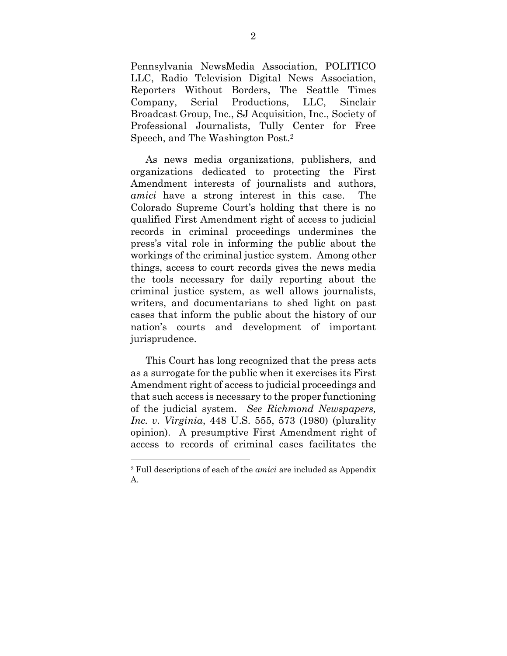Pennsylvania NewsMedia Association, POLITICO LLC, Radio Television Digital News Association, Reporters Without Borders, The Seattle Times Company, Serial Productions, LLC, Sinclair Broadcast Group, Inc., SJ Acquisition, Inc., Society of Professional Journalists, Tully Center for Free Speech, and The Washington Post. 2

As news media organizations, publishers, and organizations dedicated to protecting the First Amendment interests of journalists and authors, *amici* have a strong interest in this case. The Colorado Supreme Court's holding that there is no qualified First Amendment right of access to judicial records in criminal proceedings undermines the press's vital role in informing the public about the workings of the criminal justice system. Among other things, access to court records gives the news media the tools necessary for daily reporting about the criminal justice system, as well allows journalists, writers, and documentarians to shed light on past cases that inform the public about the history of our nation's courts and development of important jurisprudence.

This Court has long recognized that the press acts as a surrogate for the public when it exercises its First Amendment right of access to judicial proceedings and that such access is necessary to the proper functioning of the judicial system. *See Richmond Newspapers, Inc. v. Virginia*, 448 U.S. 555, 573 (1980) (plurality opinion). A presumptive First Amendment right of access to records of criminal cases facilitates the

 $\overline{\phantom{a}}$ 

<sup>2</sup> Full descriptions of each of the *amici* are included as Appendix A.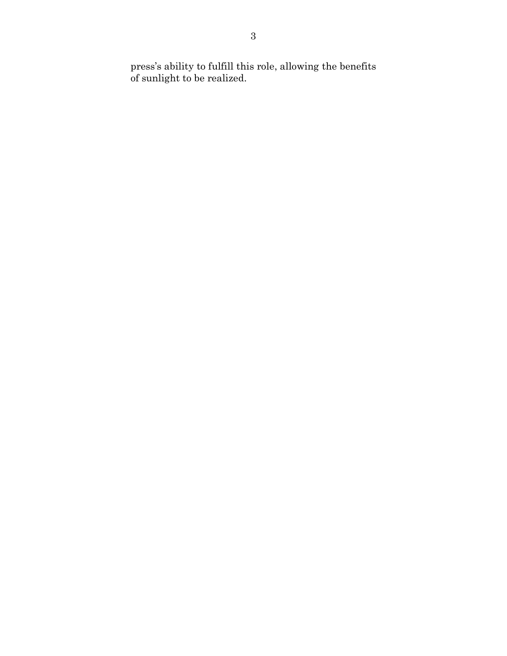press's ability to fulfill this role, allowing the benefits of sunlight to be realized.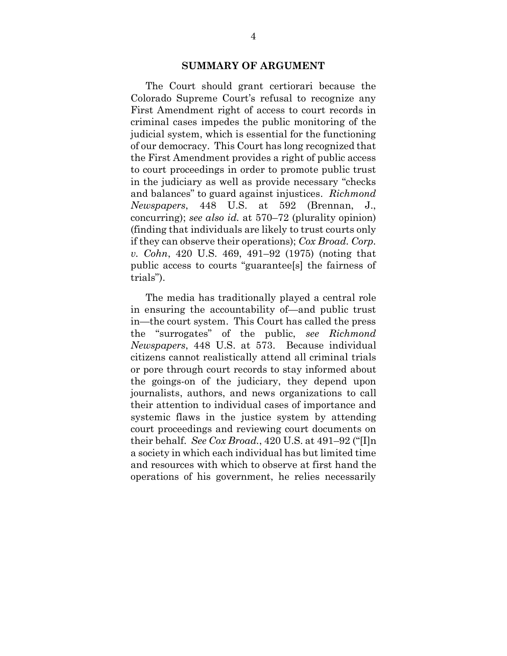#### **SUMMARY OF ARGUMENT**

<span id="page-8-0"></span>The Court should grant certiorari because the Colorado Supreme Court's refusal to recognize any First Amendment right of access to court records in criminal cases impedes the public monitoring of the judicial system, which is essential for the functioning of our democracy. This Court has long recognized that the First Amendment provides a right of public access to court proceedings in order to promote public trust in the judiciary as well as provide necessary "checks and balances" to guard against injustices. *Richmond Newspapers*, 448 U.S. at 592 (Brennan, J., concurring); *see also id.* at 570–72 (plurality opinion) (finding that individuals are likely to trust courts only if they can observe their operations); *Cox Broad. Corp. v. Cohn*, 420 U.S. 469, 491–92 (1975) (noting that public access to courts "guarantee[s] the fairness of trials").

The media has traditionally played a central role in ensuring the accountability of—and public trust in—the court system. This Court has called the press the "surrogates" of the public, *see Richmond Newspapers*, 448 U.S. at 573. Because individual citizens cannot realistically attend all criminal trials or pore through court records to stay informed about the goings-on of the judiciary, they depend upon journalists, authors, and news organizations to call their attention to individual cases of importance and systemic flaws in the justice system by attending court proceedings and reviewing court documents on their behalf. *See Cox Broad.*, 420 U.S. at 491–92 ("[I]n a society in which each individual has but limited time and resources with which to observe at first hand the operations of his government, he relies necessarily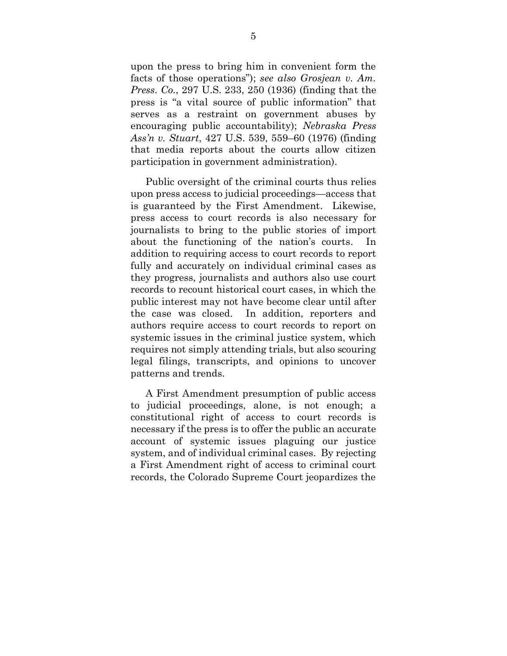upon the press to bring him in convenient form the facts of those operations"); *see also Grosjean v. Am. Press. Co.*, 297 U.S. 233, 250 (1936) (finding that the press is "a vital source of public information" that serves as a restraint on government abuses by encouraging public accountability); *Nebraska Press Ass'n v. Stuart*, 427 U.S. 539, 559–60 (1976) (finding that media reports about the courts allow citizen participation in government administration).

Public oversight of the criminal courts thus relies upon press access to judicial proceedings—access that is guaranteed by the First Amendment. Likewise, press access to court records is also necessary for journalists to bring to the public stories of import about the functioning of the nation's courts. In addition to requiring access to court records to report fully and accurately on individual criminal cases as they progress, journalists and authors also use court records to recount historical court cases, in which the public interest may not have become clear until after the case was closed. In addition, reporters and authors require access to court records to report on systemic issues in the criminal justice system, which requires not simply attending trials, but also scouring legal filings, transcripts, and opinions to uncover patterns and trends.

A First Amendment presumption of public access to judicial proceedings, alone, is not enough; a constitutional right of access to court records is necessary if the press is to offer the public an accurate account of systemic issues plaguing our justice system, and of individual criminal cases. By rejecting a First Amendment right of access to criminal court records, the Colorado Supreme Court jeopardizes the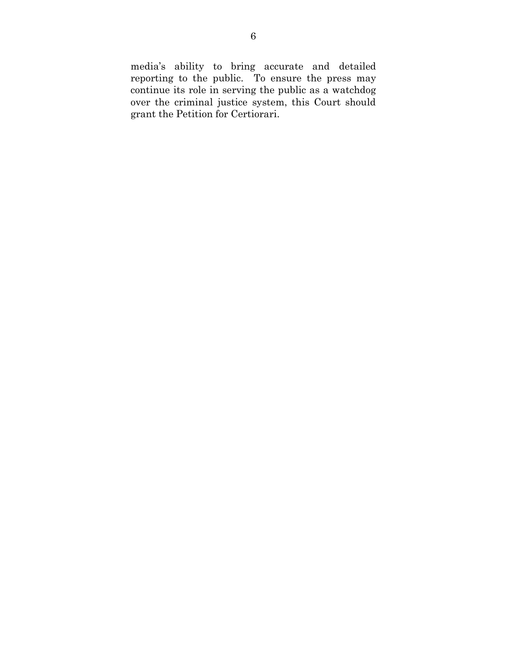media's ability to bring accurate and detailed reporting to the public. To ensure the press may continue its role in serving the public as a watchdog over the criminal justice system, this Court should grant the Petition for Certiorari.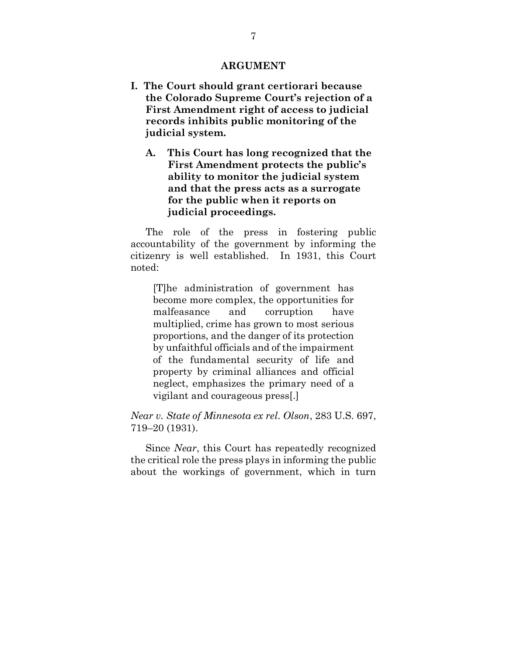#### **ARGUMENT**

- <span id="page-11-2"></span><span id="page-11-1"></span><span id="page-11-0"></span>**I. The Court should grant certiorari because the Colorado Supreme Court's rejection of a First Amendment right of access to judicial records inhibits public monitoring of the judicial system.**
	- **A. This Court has long recognized that the First Amendment protects the public's ability to monitor the judicial system and that the press acts as a surrogate for the public when it reports on judicial proceedings.**

The role of the press in fostering public accountability of the government by informing the citizenry is well established. In 1931, this Court noted:

[T]he administration of government has become more complex, the opportunities for malfeasance and corruption have multiplied, crime has grown to most serious proportions, and the danger of its protection by unfaithful officials and of the impairment of the fundamental security of life and property by criminal alliances and official neglect, emphasizes the primary need of a vigilant and courageous press[.]

*Near v. State of Minnesota ex rel. Olson*, 283 U.S. 697, 719–20 (1931).

Since *Near*, this Court has repeatedly recognized the critical role the press plays in informing the public about the workings of government, which in turn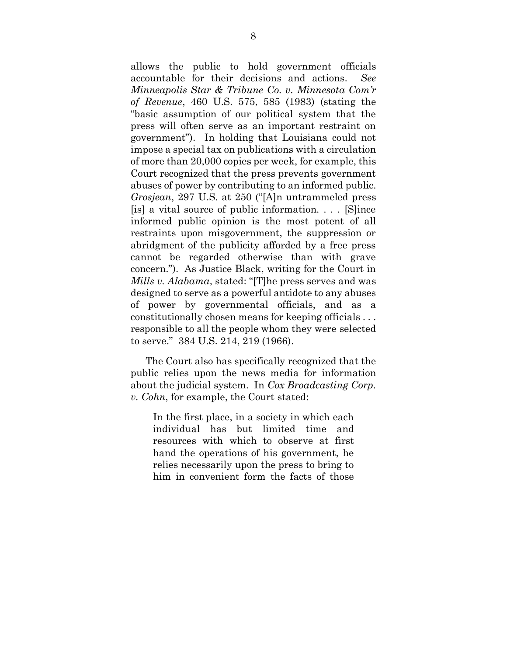allows the public to hold government officials accountable for their decisions and actions. *See Minneapolis Star & Tribune Co. v. Minnesota Com'r of Revenue*, 460 U.S. 575, 585 (1983) (stating the "basic assumption of our political system that the press will often serve as an important restraint on government"). In holding that Louisiana could not impose a special tax on publications with a circulation of more than 20,000 copies per week, for example, this Court recognized that the press prevents government abuses of power by contributing to an informed public. *Grosjean*, 297 U.S. at 250 ("[A]n untrammeled press [is] a vital source of public information. . . . [S]ince informed public opinion is the most potent of all restraints upon misgovernment, the suppression or abridgment of the publicity afforded by a free press cannot be regarded otherwise than with grave concern."). As Justice Black, writing for the Court in *Mills v. Alabama*, stated: "[T]he press serves and was designed to serve as a powerful antidote to any abuses of power by governmental officials, and as a constitutionally chosen means for keeping officials . . . responsible to all the people whom they were selected to serve." 384 U.S. 214, 219 (1966).

The Court also has specifically recognized that the public relies upon the news media for information about the judicial system. In *Cox Broadcasting Corp. v. Cohn*, for example, the Court stated:

In the first place, in a society in which each individual has but limited time and resources with which to observe at first hand the operations of his government, he relies necessarily upon the press to bring to him in convenient form the facts of those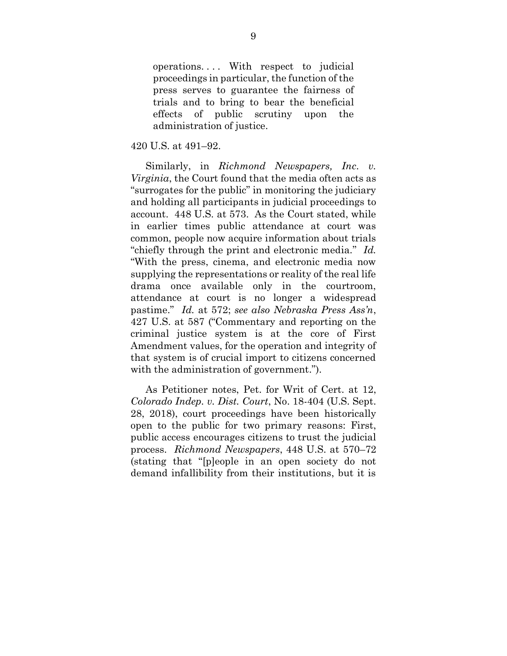operations.... With respect to judicial proceedings in particular, the function of the press serves to guarantee the fairness of trials and to bring to bear the beneficial effects of public scrutiny upon the administration of justice.

#### 420 U.S. at 491–92.

Similarly, in *Richmond Newspapers, Inc. v. Virginia*, the Court found that the media often acts as "surrogates for the public" in monitoring the judiciary and holding all participants in judicial proceedings to account. 448 U.S. at 573. As the Court stated, while in earlier times public attendance at court was common, people now acquire information about trials "chiefly through the print and electronic media." *Id.* "With the press, cinema, and electronic media now supplying the representations or reality of the real life drama once available only in the courtroom, attendance at court is no longer a widespread pastime." *Id.* at 572; *see also Nebraska Press Ass'n*, 427 U.S. at 587 ("Commentary and reporting on the criminal justice system is at the core of First Amendment values, for the operation and integrity of that system is of crucial import to citizens concerned with the administration of government.").

As Petitioner notes, Pet. for Writ of Cert. at 12, *Colorado Indep. v. Dist. Court*, No. 18-404 (U.S. Sept. 28, 2018), court proceedings have been historically open to the public for two primary reasons: First, public access encourages citizens to trust the judicial process. *Richmond Newspapers*, 448 U.S. at 570–72 (stating that "[p]eople in an open society do not demand infallibility from their institutions, but it is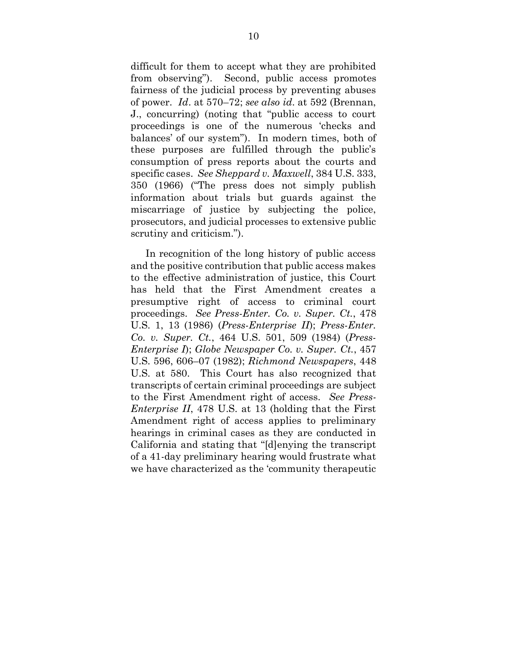difficult for them to accept what they are prohibited from observing"). Second, public access promotes fairness of the judicial process by preventing abuses of power. *Id*. at 570–72; *see also id*. at 592 (Brennan, J., concurring) (noting that "public access to court proceedings is one of the numerous 'checks and balances' of our system"). In modern times, both of these purposes are fulfilled through the public's consumption of press reports about the courts and specific cases. *See Sheppard v. Maxwell*, 384 U.S. 333, 350 (1966) ("The press does not simply publish information about trials but guards against the miscarriage of justice by subjecting the police, prosecutors, and judicial processes to extensive public scrutiny and criticism.").

In recognition of the long history of public access and the positive contribution that public access makes to the effective administration of justice, this Court has held that the First Amendment creates a presumptive right of access to criminal court proceedings. *See Press-Enter. Co. v. Super. Ct.*, 478 U.S. 1, 13 (1986) (*Press-Enterprise II*); *Press-Enter. Co. v. Super. Ct.*, 464 U.S. 501, 509 (1984) (*Press-Enterprise I*); *Globe Newspaper Co. v. Super. Ct.*, 457 U.S. 596, 606–07 (1982); *Richmond Newspapers*, 448 U.S. at 580. This Court has also recognized that transcripts of certain criminal proceedings are subject to the First Amendment right of access. *See Press-Enterprise II*, 478 U.S. at 13 (holding that the First Amendment right of access applies to preliminary hearings in criminal cases as they are conducted in California and stating that "[d]enying the transcript of a 41-day preliminary hearing would frustrate what we have characterized as the 'community therapeutic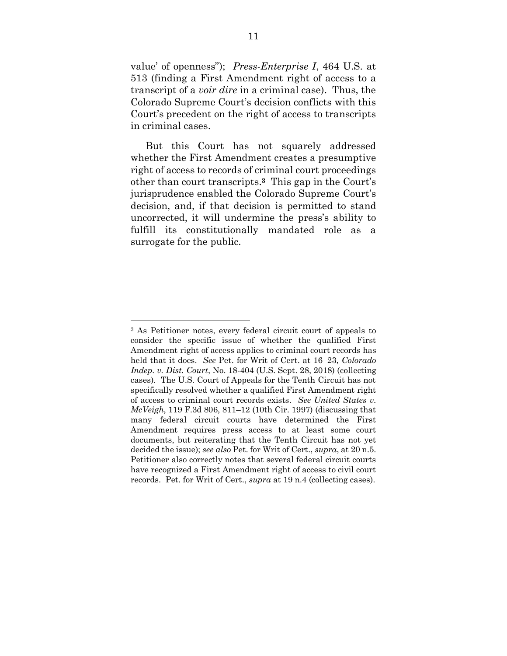value' of openness"); *Press-Enterprise I*, 464 U.S. at 513 (finding a First Amendment right of access to a transcript of a *voir dire* in a criminal case). Thus, the Colorado Supreme Court's decision conflicts with this Court's precedent on the right of access to transcripts in criminal cases.

But this Court has not squarely addressed whether the First Amendment creates a presumptive right of access to records of criminal court proceedings other than court transcripts. **<sup>3</sup>** This gap in the Court's jurisprudence enabled the Colorado Supreme Court's decision, and, if that decision is permitted to stand uncorrected, it will undermine the press's ability to fulfill its constitutionally mandated role as a surrogate for the public.

 $\overline{\phantom{a}}$ 

<sup>3</sup> As Petitioner notes, every federal circuit court of appeals to consider the specific issue of whether the qualified First Amendment right of access applies to criminal court records has held that it does. *See* Pet. for Writ of Cert. at 16–23, *Colorado Indep. v. Dist. Court*, No. 18-404 (U.S. Sept. 28, 2018) (collecting cases). The U.S. Court of Appeals for the Tenth Circuit has not specifically resolved whether a qualified First Amendment right of access to criminal court records exists. *See United States v. McVeigh*, 119 F.3d 806, 811–12 (10th Cir. 1997) (discussing that many federal circuit courts have determined the First Amendment requires press access to at least some court documents, but reiterating that the Tenth Circuit has not yet decided the issue); *see also* Pet. for Writ of Cert., *supra*, at 20 n.5. Petitioner also correctly notes that several federal circuit courts have recognized a First Amendment right of access to civil court records. Pet. for Writ of Cert., *supra* at 19 n.4 (collecting cases).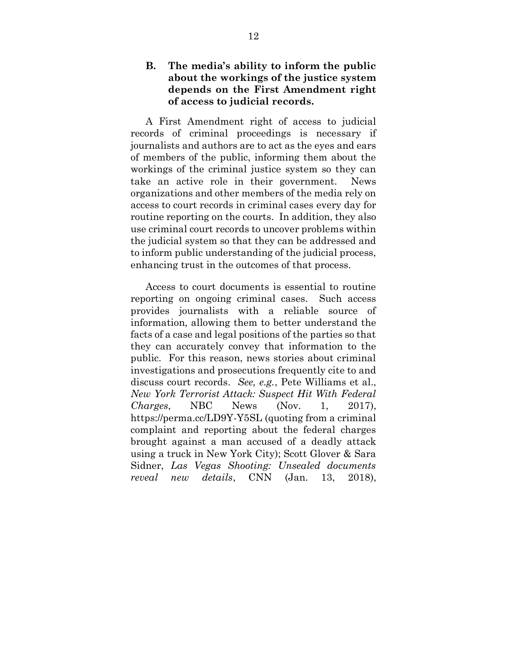## <span id="page-16-0"></span>**B. The media's ability to inform the public about the workings of the justice system depends on the First Amendment right of access to judicial records.**

A First Amendment right of access to judicial records of criminal proceedings is necessary if journalists and authors are to act as the eyes and ears of members of the public, informing them about the workings of the criminal justice system so they can take an active role in their government. News organizations and other members of the media rely on access to court records in criminal cases every day for routine reporting on the courts. In addition, they also use criminal court records to uncover problems within the judicial system so that they can be addressed and to inform public understanding of the judicial process, enhancing trust in the outcomes of that process.

Access to court documents is essential to routine reporting on ongoing criminal cases. Such access provides journalists with a reliable source of information, allowing them to better understand the facts of a case and legal positions of the parties so that they can accurately convey that information to the public. For this reason, news stories about criminal investigations and prosecutions frequently cite to and discuss court records. *See, e.g.*, Pete Williams et al., *New York Terrorist Attack: Suspect Hit With Federal Charges*, NBC News (Nov. 1, 2017), https://perma.cc/LD9Y-Y5SL (quoting from a criminal complaint and reporting about the federal charges brought against a man accused of a deadly attack using a truck in New York City); Scott Glover & Sara Sidner, *Las Vegas Shooting: Unsealed documents reveal new details*, CNN (Jan. 13, 2018),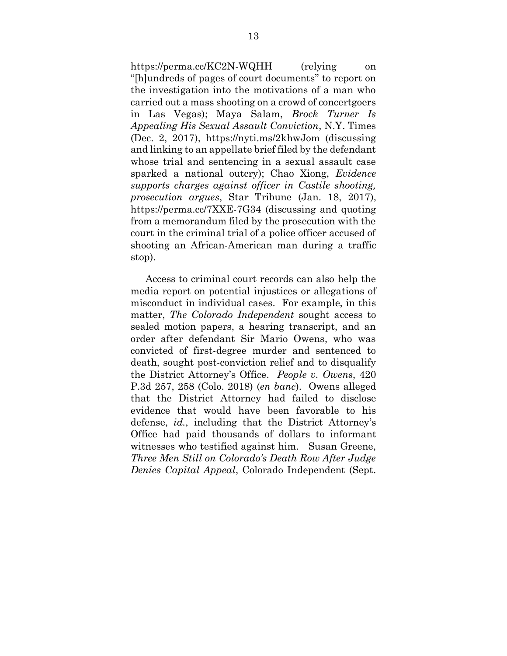https://perma.cc/KC2N-WQHH (relying on "[h]undreds of pages of court documents" to report on the investigation into the motivations of a man who carried out a mass shooting on a crowd of concertgoers in Las Vegas); Maya Salam, *Brock Turner Is Appealing His Sexual Assault Conviction*, N.Y. Times (Dec. 2, 2017), https://nyti.ms/2khwJom (discussing and linking to an appellate brief filed by the defendant whose trial and sentencing in a sexual assault case sparked a national outcry); Chao Xiong, *Evidence supports charges against officer in Castile shooting, prosecution argues*, Star Tribune (Jan. 18, 2017), https://perma.cc/7XXE-7G34 (discussing and quoting from a memorandum filed by the prosecution with the court in the criminal trial of a police officer accused of shooting an African-American man during a traffic stop).

Access to criminal court records can also help the media report on potential injustices or allegations of misconduct in individual cases. For example, in this matter, *The Colorado Independent* sought access to sealed motion papers, a hearing transcript, and an order after defendant Sir Mario Owens, who was convicted of first-degree murder and sentenced to death, sought post-conviction relief and to disqualify the District Attorney's Office. *People v. Owens*, 420 P.3d 257, 258 (Colo. 2018) (*en banc*). Owens alleged that the District Attorney had failed to disclose evidence that would have been favorable to his defense, *id.*, including that the District Attorney's Office had paid thousands of dollars to informant witnesses who testified against him. Susan Greene, *Three Men Still on Colorado's Death Row After Judge Denies Capital Appeal*, Colorado Independent (Sept.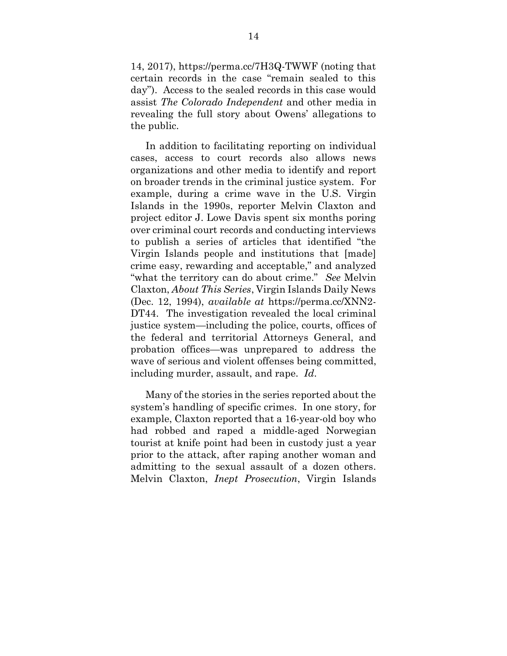14, 2017), https://perma.cc/7H3Q-TWWF (noting that certain records in the case "remain sealed to this day"). Access to the sealed records in this case would assist *The Colorado Independent* and other media in revealing the full story about Owens' allegations to the public.

In addition to facilitating reporting on individual cases, access to court records also allows news organizations and other media to identify and report on broader trends in the criminal justice system. For example, during a crime wave in the U.S. Virgin Islands in the 1990s, reporter Melvin Claxton and project editor J. Lowe Davis spent six months poring over criminal court records and conducting interviews to publish a series of articles that identified "the Virgin Islands people and institutions that [made] crime easy, rewarding and acceptable," and analyzed "what the territory can do about crime." *See* Melvin Claxton, *About This Series*, Virgin Islands Daily News (Dec. 12, 1994), *available at* https://perma.cc/XNN2- DT44. The investigation revealed the local criminal justice system—including the police, courts, offices of the federal and territorial Attorneys General, and probation offices—was unprepared to address the wave of serious and violent offenses being committed, including murder, assault, and rape. *Id*.

Many of the stories in the series reported about the system's handling of specific crimes. In one story, for example, Claxton reported that a 16-year-old boy who had robbed and raped a middle-aged Norwegian tourist at knife point had been in custody just a year prior to the attack, after raping another woman and admitting to the sexual assault of a dozen others. Melvin Claxton, *Inept Prosecution*, Virgin Islands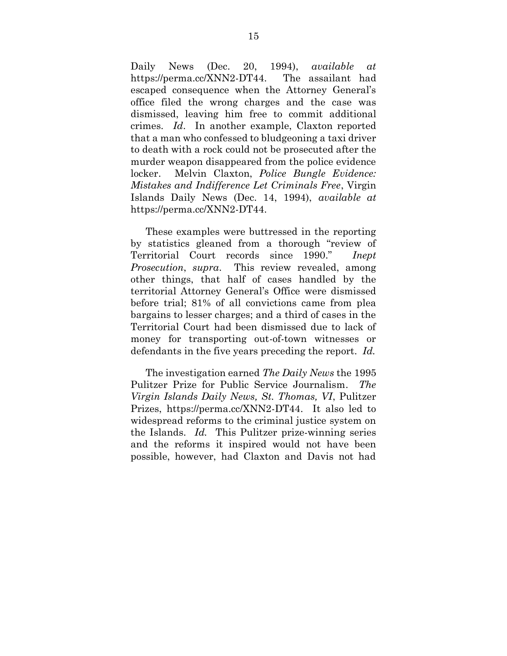Daily News (Dec. 20, 1994), *available at*  https://perma.cc/XNN2-DT44. The assailant had escaped consequence when the Attorney General's office filed the wrong charges and the case was dismissed, leaving him free to commit additional crimes. *Id*. In another example, Claxton reported that a man who confessed to bludgeoning a taxi driver to death with a rock could not be prosecuted after the murder weapon disappeared from the police evidence locker. Melvin Claxton, *Police Bungle Evidence: Mistakes and Indifference Let Criminals Free*, Virgin Islands Daily News (Dec. 14, 1994), *available at*  https://perma.cc/XNN2-DT44.

These examples were buttressed in the reporting by statistics gleaned from a thorough "review of Territorial Court records since 1990." *Inept Prosecution*, *supra*. This review revealed, among other things, that half of cases handled by the territorial Attorney General's Office were dismissed before trial; 81% of all convictions came from plea bargains to lesser charges; and a third of cases in the Territorial Court had been dismissed due to lack of money for transporting out-of-town witnesses or defendants in the five years preceding the report. *Id.*

The investigation earned *The Daily News* the 1995 Pulitzer Prize for Public Service Journalism. *The Virgin Islands Daily News, St. Thomas, VI*, Pulitzer Prizes, https://perma.cc/XNN2-DT44. It also led to widespread reforms to the criminal justice system on the Islands. *Id.* This Pulitzer prize-winning series and the reforms it inspired would not have been possible, however, had Claxton and Davis not had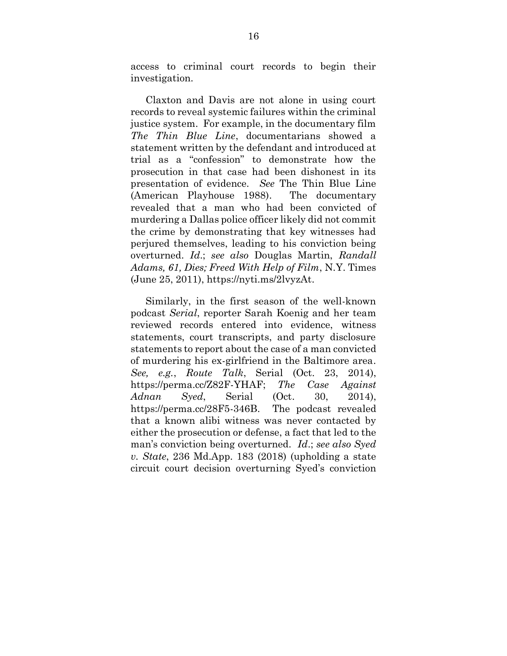access to criminal court records to begin their investigation.

Claxton and Davis are not alone in using court records to reveal systemic failures within the criminal justice system. For example, in the documentary film *The Thin Blue Line*, documentarians showed a statement written by the defendant and introduced at trial as a "confession" to demonstrate how the prosecution in that case had been dishonest in its presentation of evidence. *See* The Thin Blue Line (American Playhouse 1988). The documentary revealed that a man who had been convicted of murdering a Dallas police officer likely did not commit the crime by demonstrating that key witnesses had perjured themselves, leading to his conviction being overturned. *Id*.; *see also* Douglas Martin, *Randall Adams, 61, Dies; Freed With Help of Film*, N.Y. Times (June 25, 2011), https://nyti.ms/2lvyzAt.

Similarly, in the first season of the well-known podcast *Serial*, reporter Sarah Koenig and her team reviewed records entered into evidence, witness statements, court transcripts, and party disclosure statements to report about the case of a man convicted of murdering his ex-girlfriend in the Baltimore area. *See, e.g.*, *Route Talk*, Serial (Oct. 23, 2014), https://perma.cc/Z82F-YHAF; *The Case Against Adnan Syed*, Serial (Oct. 30, 2014), https://perma.cc/28F5-346B. The podcast revealed that a known alibi witness was never contacted by either the prosecution or defense, a fact that led to the man's conviction being overturned. *Id*.; *see also Syed v. State*, 236 Md.App. 183 (2018) (upholding a state circuit court decision overturning Syed's conviction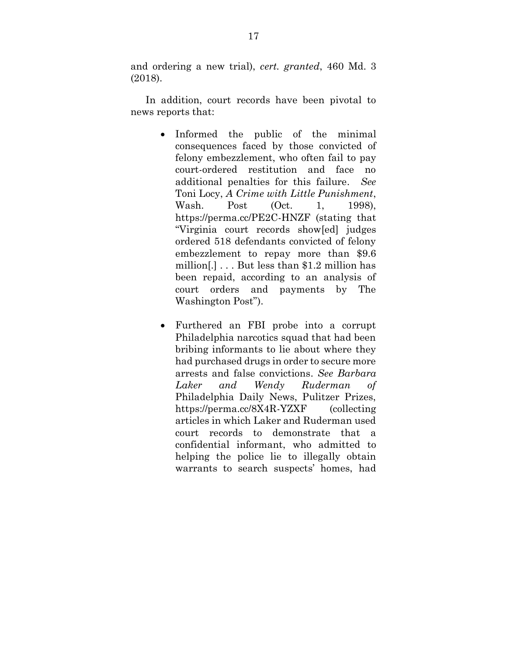and ordering a new trial), *cert. granted*, 460 Md. 3 (2018).

In addition, court records have been pivotal to news reports that:

- Informed the public of the minimal consequences faced by those convicted of felony embezzlement, who often fail to pay court-ordered restitution and face no additional penalties for this failure. *See*  Toni Locy, *A Crime with Little Punishment*, Wash. Post (Oct. 1, 1998), https://perma.cc/PE2C-HNZF (stating that "Virginia court records show[ed] judges ordered 518 defendants convicted of felony embezzlement to repay more than \$9.6 million[.] . . . But less than \$1.2 million has been repaid, according to an analysis of court orders and payments by The Washington Post").
- Furthered an FBI probe into a corrupt Philadelphia narcotics squad that had been bribing informants to lie about where they had purchased drugs in order to secure more arrests and false convictions. *See Barbara Laker and Wendy Ruderman of*  Philadelphia Daily News, Pulitzer Prizes, https://perma.cc/8X4R-YZXF (collecting articles in which Laker and Ruderman used court records to demonstrate that a confidential informant, who admitted to helping the police lie to illegally obtain warrants to search suspects' homes, had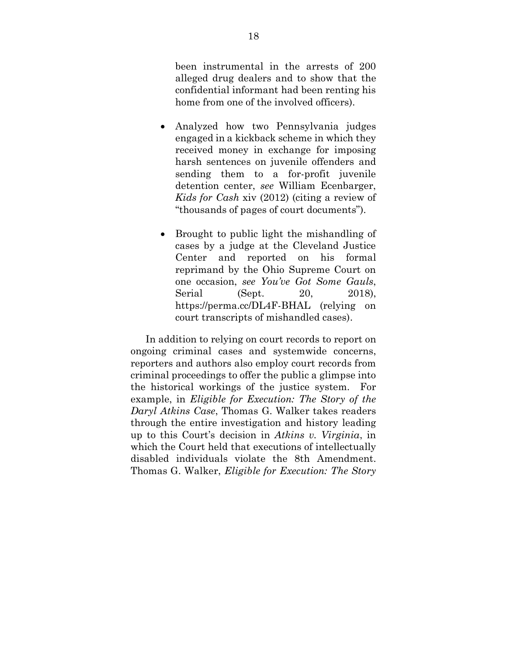been instrumental in the arrests of 200 alleged drug dealers and to show that the confidential informant had been renting his home from one of the involved officers).

- Analyzed how two Pennsylvania judges engaged in a kickback scheme in which they received money in exchange for imposing harsh sentences on juvenile offenders and sending them to a for-profit juvenile detention center, *see* William Ecenbarger, *Kids for Cash* xiv (2012) (citing a review of "thousands of pages of court documents").
- Brought to public light the mishandling of cases by a judge at the Cleveland Justice Center and reported on his formal reprimand by the Ohio Supreme Court on one occasion, *see You've Got Some Gauls*, Serial (Sept. 20, 2018), https://perma.cc/DL4F-BHAL (relying on court transcripts of mishandled cases).

In addition to relying on court records to report on ongoing criminal cases and systemwide concerns, reporters and authors also employ court records from criminal proceedings to offer the public a glimpse into the historical workings of the justice system. For example, in *Eligible for Execution: The Story of the Daryl Atkins Case*, Thomas G. Walker takes readers through the entire investigation and history leading up to this Court's decision in *Atkins v. Virginia*, in which the Court held that executions of intellectually disabled individuals violate the 8th Amendment. Thomas G. Walker, *Eligible for Execution: The Story*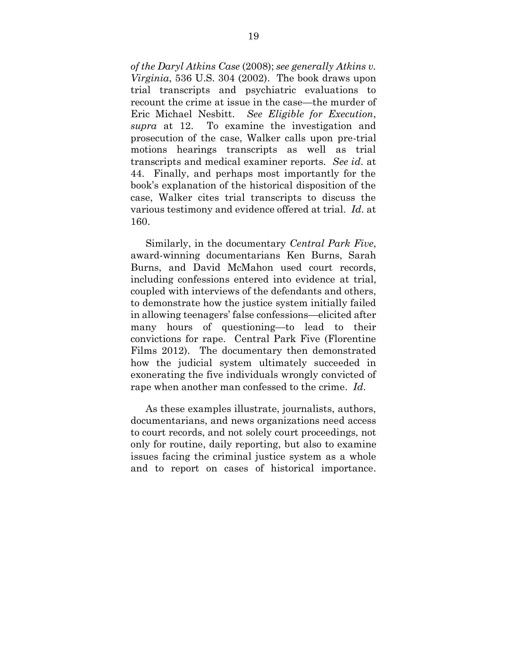*of the Daryl Atkins Case* (2008); *see generally Atkins v. Virginia*, 536 U.S. 304 (2002). The book draws upon trial transcripts and psychiatric evaluations to recount the crime at issue in the case—the murder of Eric Michael Nesbitt. *See Eligible for Execution*, *supra* at 12. To examine the investigation and prosecution of the case, Walker calls upon pre-trial motions hearings transcripts as well as trial transcripts and medical examiner reports. *See id*. at 44. Finally, and perhaps most importantly for the book's explanation of the historical disposition of the case, Walker cites trial transcripts to discuss the various testimony and evidence offered at trial. *Id*. at 160.

Similarly, in the documentary *Central Park Five*, award-winning documentarians Ken Burns, Sarah Burns, and David McMahon used court records, including confessions entered into evidence at trial, coupled with interviews of the defendants and others, to demonstrate how the justice system initially failed in allowing teenagers' false confessions—elicited after many hours of questioning—to lead to their convictions for rape. Central Park Five (Florentine Films 2012). The documentary then demonstrated how the judicial system ultimately succeeded in exonerating the five individuals wrongly convicted of rape when another man confessed to the crime. *Id*.

As these examples illustrate, journalists, authors, documentarians, and news organizations need access to court records, and not solely court proceedings, not only for routine, daily reporting, but also to examine issues facing the criminal justice system as a whole and to report on cases of historical importance.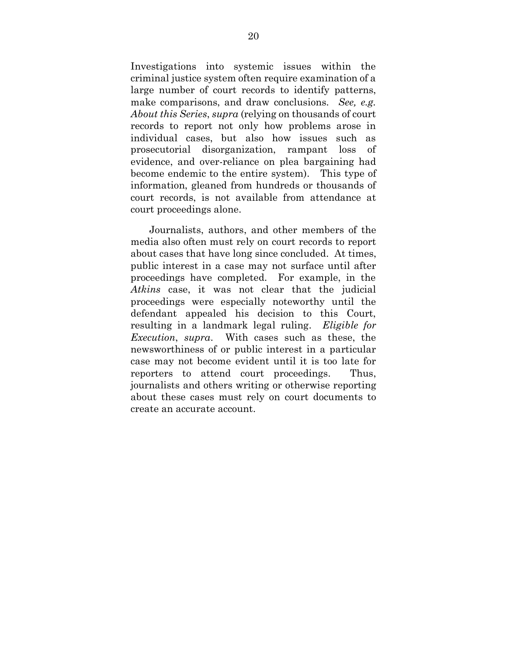Investigations into systemic issues within the criminal justice system often require examination of a large number of court records to identify patterns, make comparisons, and draw conclusions. *See, e.g. About this Series*, *supra* (relying on thousands of court records to report not only how problems arose in individual cases, but also how issues such as prosecutorial disorganization, rampant loss of evidence, and over-reliance on plea bargaining had become endemic to the entire system). This type of information, gleaned from hundreds or thousands of court records, is not available from attendance at court proceedings alone.

Journalists, authors, and other members of the media also often must rely on court records to report about cases that have long since concluded. At times, public interest in a case may not surface until after proceedings have completed. For example, in the *Atkins* case, it was not clear that the judicial proceedings were especially noteworthy until the defendant appealed his decision to this Court, resulting in a landmark legal ruling. *Eligible for Execution*, *supra*. With cases such as these, the newsworthiness of or public interest in a particular case may not become evident until it is too late for reporters to attend court proceedings. Thus, journalists and others writing or otherwise reporting about these cases must rely on court documents to create an accurate account.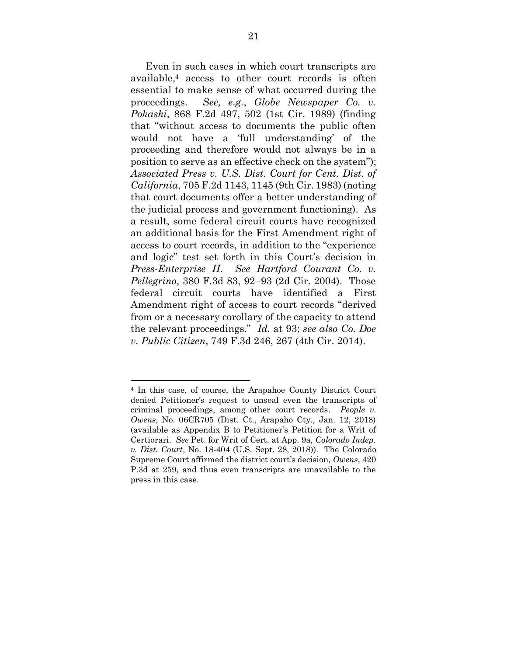Even in such cases in which court transcripts are available,<sup>4</sup> access to other court records is often essential to make sense of what occurred during the proceedings. *See, e.g.*, *Globe Newspaper Co. v. Pokaski*, 868 F.2d 497, 502 (1st Cir. 1989) (finding that "without access to documents the public often would not have a 'full understanding' of the proceeding and therefore would not always be in a position to serve as an effective check on the system"); *Associated Press v. U.S. Dist. Court for Cent. Dist. of California*, 705 F.2d 1143, 1145 (9th Cir. 1983) (noting that court documents offer a better understanding of the judicial process and government functioning). As a result, some federal circuit courts have recognized an additional basis for the First Amendment right of access to court records, in addition to the "experience and logic" test set forth in this Court's decision in *Press-Enterprise II*. *See Hartford Courant Co. v. Pellegrino*, 380 F.3d 83, 92–93 (2d Cir. 2004). Those federal circuit courts have identified a First Amendment right of access to court records "derived from or a necessary corollary of the capacity to attend the relevant proceedings." *Id.* at 93; *see also Co. Doe v. Public Citizen*, 749 F.3d 246, 267 (4th Cir. 2014).

 $\overline{\phantom{a}}$ 

<sup>4</sup> In this case, of course, the Arapahoe County District Court denied Petitioner's request to unseal even the transcripts of criminal proceedings, among other court records. *People v. Owens*, No. 06CR705 (Dist. Ct., Arapaho Cty., Jan. 12, 2018) (available as Appendix B to Petitioner's Petition for a Writ of Certiorari. *See* Pet. for Writ of Cert. at App. 9a, *Colorado Indep. v. Dist. Court*, No. 18-404 (U.S. Sept. 28, 2018)). The Colorado Supreme Court affirmed the district court's decision, *Owens*, 420 P.3d at 259, and thus even transcripts are unavailable to the press in this case.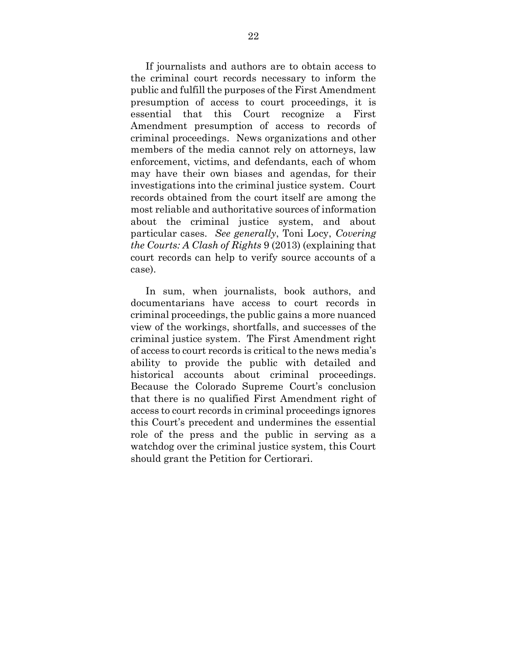If journalists and authors are to obtain access to the criminal court records necessary to inform the public and fulfill the purposes of the First Amendment presumption of access to court proceedings, it is essential that this Court recognize a First Amendment presumption of access to records of criminal proceedings. News organizations and other members of the media cannot rely on attorneys, law enforcement, victims, and defendants, each of whom may have their own biases and agendas, for their investigations into the criminal justice system. Court records obtained from the court itself are among the most reliable and authoritative sources of information about the criminal justice system, and about particular cases. *See generally*, Toni Locy, *Covering the Courts: A Clash of Rights* 9 (2013) (explaining that court records can help to verify source accounts of a case).

In sum, when journalists, book authors, and documentarians have access to court records in criminal proceedings, the public gains a more nuanced view of the workings, shortfalls, and successes of the criminal justice system. The First Amendment right of access to court records is critical to the news media's ability to provide the public with detailed and historical accounts about criminal proceedings. Because the Colorado Supreme Court's conclusion that there is no qualified First Amendment right of access to court records in criminal proceedings ignores this Court's precedent and undermines the essential role of the press and the public in serving as a watchdog over the criminal justice system, this Court should grant the Petition for Certiorari.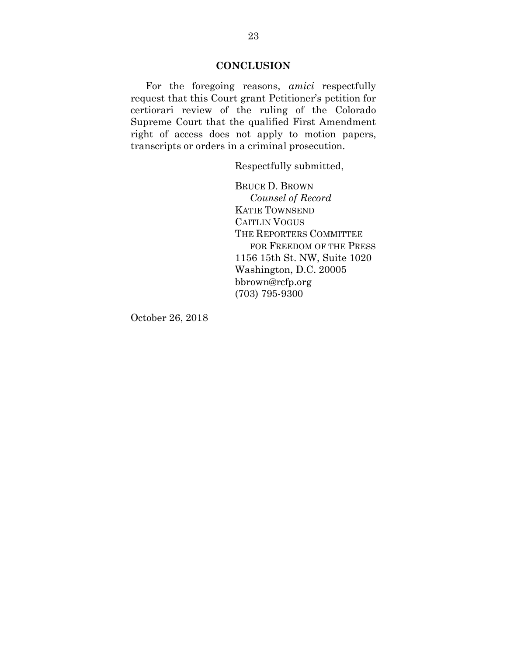#### **CONCLUSION**

<span id="page-27-0"></span>For the foregoing reasons, *amici* respectfully request that this Court grant Petitioner's petition for certiorari review of the ruling of the Colorado Supreme Court that the qualified First Amendment right of access does not apply to motion papers, transcripts or orders in a criminal prosecution.

Respectfully submitted,

BRUCE D. BROWN *Counsel of Record* KATIE TOWNSEND CAITLIN VOGUS THE REPORTERS COMMITTEE FOR FREEDOM OF THE PRESS 1156 15th St. NW, Suite 1020 Washington, D.C. 20005 bbrown@rcfp.org (703) 795-9300

October 26, 2018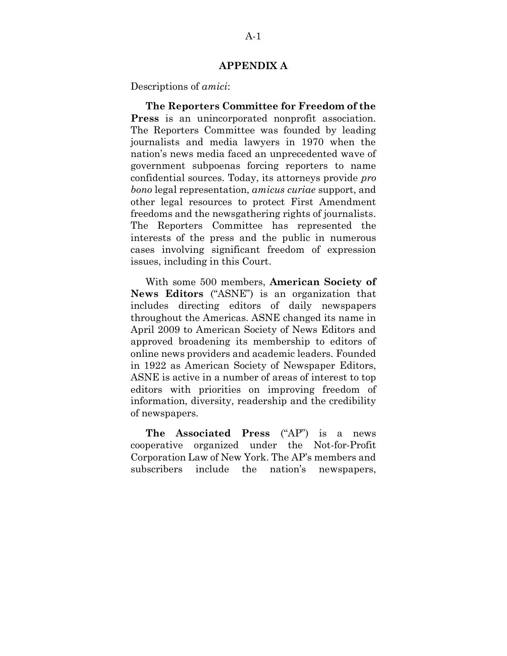#### **APPENDIX A**

<span id="page-28-0"></span>Descriptions of *amici*:

**The Reporters Committee for Freedom of the Press** is an unincorporated nonprofit association. The Reporters Committee was founded by leading journalists and media lawyers in 1970 when the nation's news media faced an unprecedented wave of government subpoenas forcing reporters to name confidential sources. Today, its attorneys provide *pro bono* legal representation, *amicus curiae* support, and other legal resources to protect First Amendment freedoms and the newsgathering rights of journalists. The Reporters Committee has represented the interests of the press and the public in numerous cases involving significant freedom of expression issues, including in this Court.

With some 500 members, **American Society of News Editors** ("ASNE") is an organization that includes directing editors of daily newspapers throughout the Americas. ASNE changed its name in April 2009 to American Society of News Editors and approved broadening its membership to editors of online news providers and academic leaders. Founded in 1922 as American Society of Newspaper Editors, ASNE is active in a number of areas of interest to top editors with priorities on improving freedom of information, diversity, readership and the credibility of newspapers.

**The Associated Press** ("AP") is a news cooperative organized under the Not-for-Profit Corporation Law of New York. The AP's members and subscribers include the nation's newspapers,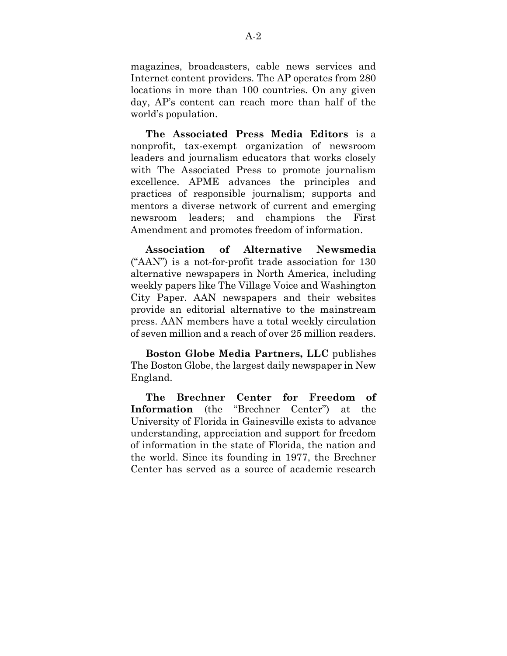magazines, broadcasters, cable news services and Internet content providers. The AP operates from 280 locations in more than 100 countries. On any given day, AP's content can reach more than half of the world's population.

**The Associated Press Media Editors** is a nonprofit, tax-exempt organization of newsroom leaders and journalism educators that works closely with The Associated Press to promote journalism excellence. APME advances the principles and practices of responsible journalism; supports and mentors a diverse network of current and emerging newsroom leaders; and champions the First Amendment and promotes freedom of information.

**Association of Alternative Newsmedia**  ("AAN") is a not-for-profit trade association for 130 alternative newspapers in North America, including weekly papers like The Village Voice and Washington City Paper. AAN newspapers and their websites provide an editorial alternative to the mainstream press. AAN members have a total weekly circulation of seven million and a reach of over 25 million readers.

**Boston Globe Media Partners, LLC** publishes The Boston Globe, the largest daily newspaper in New England.

**The Brechner Center for Freedom of Information** (the "Brechner Center") at the University of Florida in Gainesville exists to advance understanding, appreciation and support for freedom of information in the state of Florida, the nation and the world. Since its founding in 1977, the Brechner Center has served as a source of academic research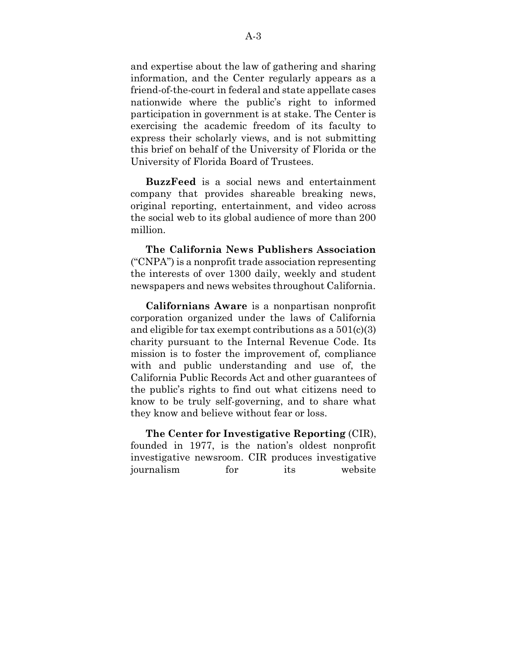and expertise about the law of gathering and sharing information, and the Center regularly appears as a friend-of-the-court in federal and state appellate cases nationwide where the public's right to informed participation in government is at stake. The Center is exercising the academic freedom of its faculty to express their scholarly views, and is not submitting this brief on behalf of the University of Florida or the University of Florida Board of Trustees.

**BuzzFeed** is a social news and entertainment company that provides shareable breaking news, original reporting, entertainment, and video across the social web to its global audience of more than 200 million.

**The California News Publishers Association** ("CNPA") is a nonprofit trade association representing the interests of over 1300 daily, weekly and student newspapers and news websites throughout California.

**Californians Aware** is a nonpartisan nonprofit corporation organized under the laws of California and eligible for tax exempt contributions as a  $501(c)(3)$ charity pursuant to the Internal Revenue Code. Its mission is to foster the improvement of, compliance with and public understanding and use of, the California Public Records Act and other guarantees of the public's rights to find out what citizens need to know to be truly self-governing, and to share what they know and believe without fear or loss.

**The Center for Investigative Reporting** (CIR), founded in 1977, is the nation's oldest nonprofit investigative newsroom. CIR produces investigative journalism for its website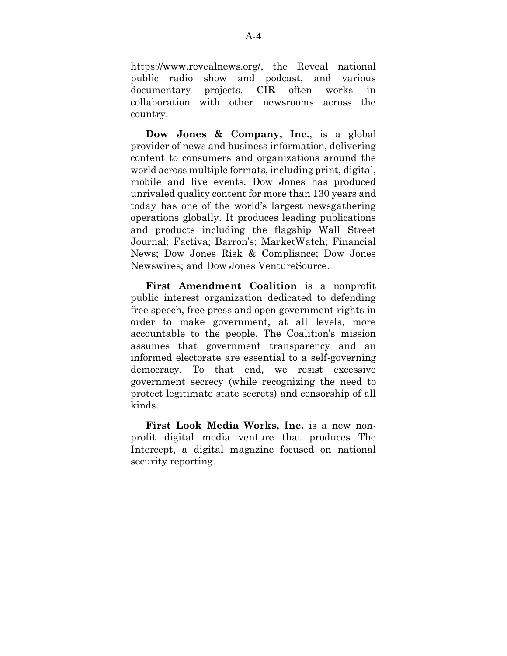https://www.revealnews.org/, the Reveal national public radio show and podcast, and various documentary projects. CIR often works in collaboration with other newsrooms across the country.

**Dow Jones & Company, Inc.**, is a global provider of news and business information, delivering content to consumers and organizations around the world across multiple formats, including print, digital, mobile and live events. Dow Jones has produced unrivaled quality content for more than 130 years and today has one of the world's largest newsgathering operations globally. It produces leading publications and products including the flagship Wall Street Journal; Factiva; Barron's; MarketWatch; Financial News; Dow Jones Risk & Compliance; Dow Jones Newswires; and Dow Jones VentureSource.

**First Amendment Coalition** is a nonprofit public interest organization dedicated to defending free speech, free press and open government rights in order to make government, at all levels, more accountable to the people. The Coalition's mission assumes that government transparency and an informed electorate are essential to a self-governing democracy. To that end, we resist excessive government secrecy (while recognizing the need to protect legitimate state secrets) and censorship of all kinds.

**First Look Media Works, Inc.** is a new nonprofit digital media venture that produces The Intercept, a digital magazine focused on national security reporting.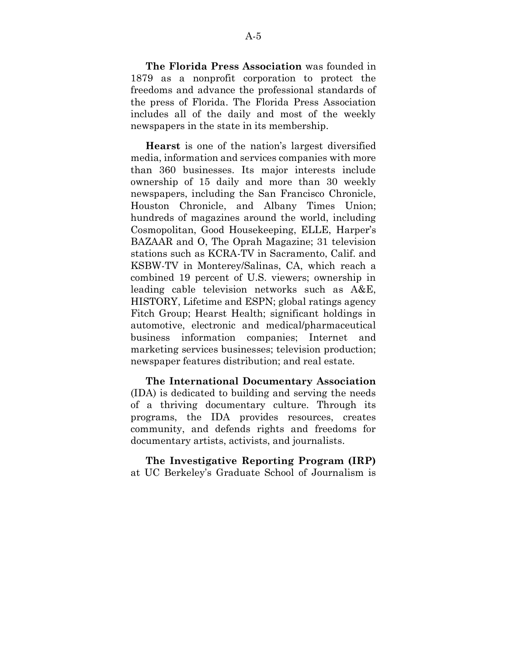**The Florida Press Association** was founded in 1879 as a nonprofit corporation to protect the freedoms and advance the professional standards of the press of Florida. The Florida Press Association includes all of the daily and most of the weekly newspapers in the state in its membership.

**Hearst** is one of the nation's largest diversified media, information and services companies with more than 360 businesses. Its major interests include ownership of 15 daily and more than 30 weekly newspapers, including the San Francisco Chronicle, Houston Chronicle, and Albany Times Union; hundreds of magazines around the world, including Cosmopolitan, Good Housekeeping, ELLE, Harper's BAZAAR and O, The Oprah Magazine; 31 television stations such as KCRA-TV in Sacramento, Calif. and KSBW-TV in Monterey/Salinas, CA, which reach a combined 19 percent of U.S. viewers; ownership in leading cable television networks such as A&E, HISTORY, Lifetime and ESPN; global ratings agency Fitch Group; Hearst Health; significant holdings in automotive, electronic and medical/pharmaceutical business information companies; Internet and marketing services businesses; television production; newspaper features distribution; and real estate.

**The International Documentary Association** (IDA) is dedicated to building and serving the needs of a thriving documentary culture. Through its programs, the IDA provides resources, creates community, and defends rights and freedoms for documentary artists, activists, and journalists.

**The Investigative Reporting Program (IRP)** at UC Berkeley's Graduate School of Journalism is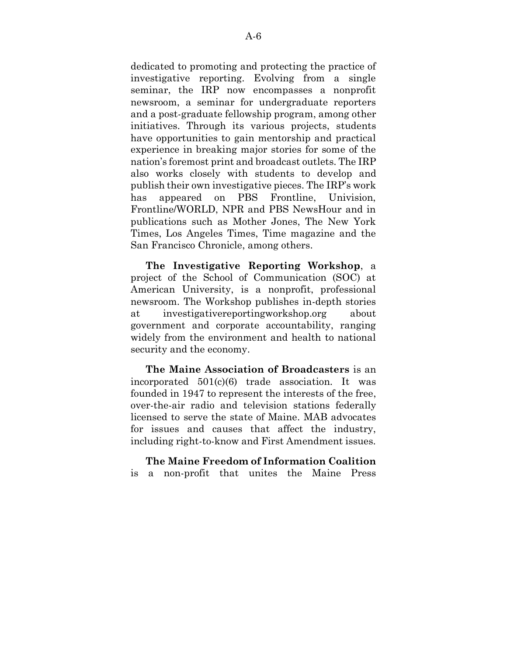dedicated to promoting and protecting the practice of investigative reporting. Evolving from a single seminar, the IRP now encompasses a nonprofit newsroom, a seminar for undergraduate reporters and a post-graduate fellowship program, among other initiatives. Through its various projects, students have opportunities to gain mentorship and practical experience in breaking major stories for some of the nation's foremost print and broadcast outlets. The IRP also works closely with students to develop and publish their own investigative pieces. The IRP's work has appeared on PBS Frontline, Univision, Frontline/WORLD, NPR and PBS NewsHour and in publications such as Mother Jones, The New York Times, Los Angeles Times, Time magazine and the San Francisco Chronicle, among others.

**The Investigative Reporting Workshop**, a project of the School of Communication (SOC) at American University, is a nonprofit, professional newsroom. The Workshop publishes in-depth stories at investigativereportingworkshop.org about government and corporate accountability, ranging widely from the environment and health to national security and the economy.

**The Maine Association of Broadcasters** is an incorporated 501(c)(6) trade association. It was founded in 1947 to represent the interests of the free, over-the-air radio and television stations federally licensed to serve the state of Maine. MAB advocates for issues and causes that affect the industry, including right-to-know and First Amendment issues.

**The Maine Freedom of Information Coalition** is a non-profit that unites the Maine Press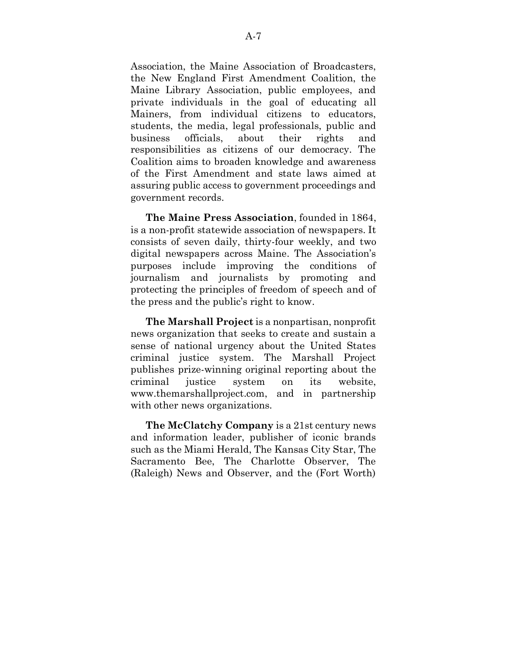Association, the Maine Association of Broadcasters, the New England First Amendment Coalition, the Maine Library Association, public employees, and private individuals in the goal of educating all Mainers, from individual citizens to educators, students, the media, legal professionals, public and business officials, about their rights and responsibilities as citizens of our democracy. The Coalition aims to broaden knowledge and awareness of the First Amendment and state laws aimed at assuring public access to government proceedings and government records.

**The Maine Press Association**, founded in 1864, is a non-profit statewide association of newspapers. It consists of seven daily, thirty-four weekly, and two digital newspapers across Maine. The Association's purposes include improving the conditions of journalism and journalists by promoting and protecting the principles of freedom of speech and of the press and the public's right to know.

**The Marshall Project** is a nonpartisan, nonprofit news organization that seeks to create and sustain a sense of national urgency about the United States criminal justice system. The Marshall Project publishes prize-winning original reporting about the criminal justice system on its website, www.themarshallproject.com, and in partnership with other news organizations.

**The McClatchy Company** is a 21st century news and information leader, publisher of iconic brands such as the Miami Herald, The Kansas City Star, The Sacramento Bee, The Charlotte Observer, The (Raleigh) News and Observer, and the (Fort Worth)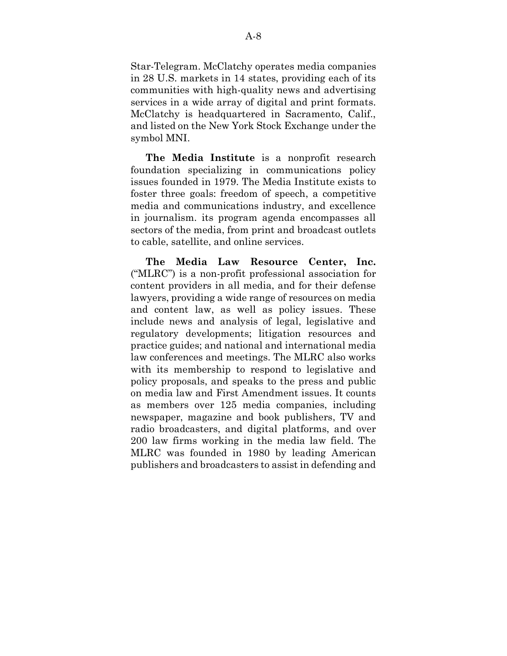Star-Telegram. McClatchy operates media companies in 28 U.S. markets in 14 states, providing each of its communities with high-quality news and advertising services in a wide array of digital and print formats. McClatchy is headquartered in Sacramento, Calif., and listed on the New York Stock Exchange under the symbol MNI.

**The Media Institute** is a nonprofit research foundation specializing in communications policy issues founded in 1979. The Media Institute exists to foster three goals: freedom of speech, a competitive media and communications industry, and excellence in journalism. its program agenda encompasses all sectors of the media, from print and broadcast outlets to cable, satellite, and online services.

**The Media Law Resource Center, Inc.** ("MLRC") is a non-profit professional association for content providers in all media, and for their defense lawyers, providing a wide range of resources on media and content law, as well as policy issues. These include news and analysis of legal, legislative and regulatory developments; litigation resources and practice guides; and national and international media law conferences and meetings. The MLRC also works with its membership to respond to legislative and policy proposals, and speaks to the press and public on media law and First Amendment issues. It counts as members over 125 media companies, including newspaper, magazine and book publishers, TV and radio broadcasters, and digital platforms, and over 200 law firms working in the media law field. The MLRC was founded in 1980 by leading American publishers and broadcasters to assist in defending and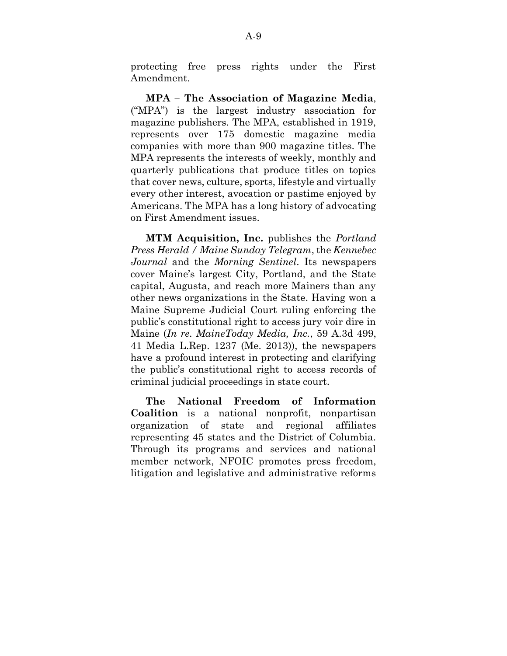protecting free press rights under the First Amendment.

**MPA – The Association of Magazine Media**, ("MPA") is the largest industry association for magazine publishers. The MPA, established in 1919, represents over 175 domestic magazine media companies with more than 900 magazine titles. The MPA represents the interests of weekly, monthly and quarterly publications that produce titles on topics that cover news, culture, sports, lifestyle and virtually every other interest, avocation or pastime enjoyed by Americans. The MPA has a long history of advocating on First Amendment issues.

**MTM Acquisition, Inc.** publishes the *Portland Press Herald / Maine Sunday Telegram*, the *Kennebec Journal* and the *Morning Sentinel*. Its newspapers cover Maine's largest City, Portland, and the State capital, Augusta, and reach more Mainers than any other news organizations in the State. Having won a Maine Supreme Judicial Court ruling enforcing the public's constitutional right to access jury voir dire in Maine (*In re. MaineToday Media, Inc.*, 59 A.3d 499, 41 Media L.Rep. 1237 (Me. 2013)), the newspapers have a profound interest in protecting and clarifying the public's constitutional right to access records of criminal judicial proceedings in state court.

**The National Freedom of Information Coalition** is a national nonprofit, nonpartisan organization of state and regional affiliates representing 45 states and the District of Columbia. Through its programs and services and national member network, NFOIC promotes press freedom, litigation and legislative and administrative reforms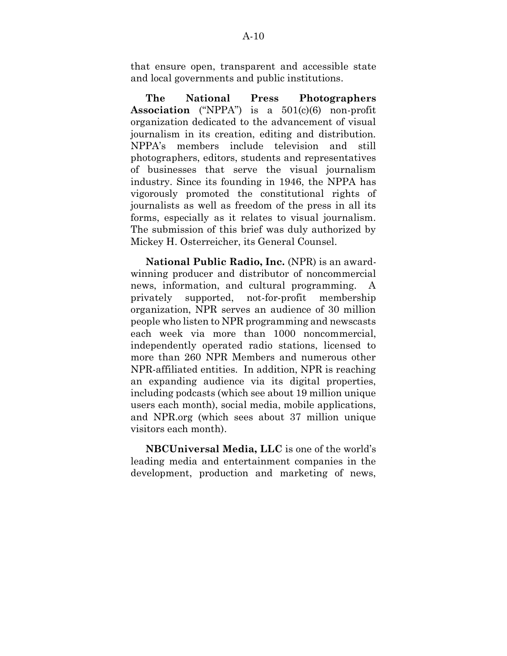that ensure open, transparent and accessible state and local governments and public institutions.

**The National Press Photographers Association** ("NPPA") is a 501(c)(6) non-profit organization dedicated to the advancement of visual journalism in its creation, editing and distribution. NPPA's members include television and still photographers, editors, students and representatives of businesses that serve the visual journalism industry. Since its founding in 1946, the NPPA has vigorously promoted the constitutional rights of journalists as well as freedom of the press in all its forms, especially as it relates to visual journalism. The submission of this brief was duly authorized by Mickey H. Osterreicher, its General Counsel.

**National Public Radio, Inc.** (NPR) is an awardwinning producer and distributor of noncommercial news, information, and cultural programming. A privately supported, not-for-profit membership organization, NPR serves an audience of 30 million people who listen to NPR programming and newscasts each week via more than 1000 noncommercial, independently operated radio stations, licensed to more than 260 NPR Members and numerous other NPR-affiliated entities. In addition, NPR is reaching an expanding audience via its digital properties, including podcasts (which see about 19 million unique users each month), social media, mobile applications, and NPR.org (which sees about 37 million unique visitors each month).

**NBCUniversal Media, LLC** is one of the world's leading media and entertainment companies in the development, production and marketing of news,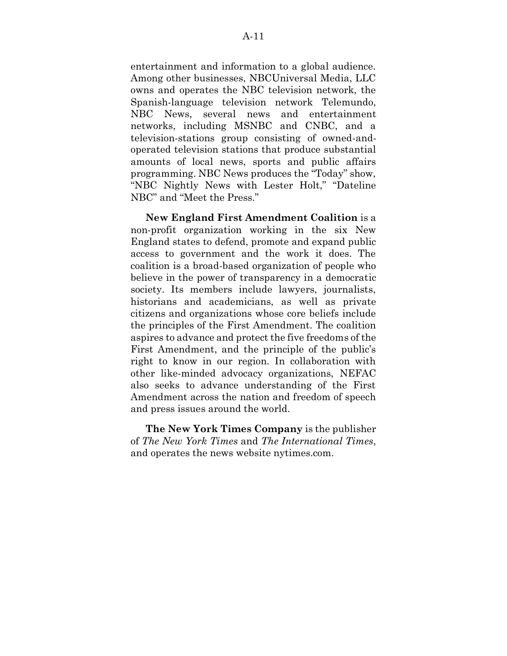entertainment and information to a global audience. Among other businesses, NBCUniversal Media, LLC owns and operates the NBC television network, the Spanish-language television network Telemundo, NBC News, several news and entertainment networks, including MSNBC and CNBC, and a television-stations group consisting of owned-andoperated television stations that produce substantial amounts of local news, sports and public affairs programming. NBC News produces the "Today" show, "NBC Nightly News with Lester Holt," "Dateline NBC" and "Meet the Press."

**New England First Amendment Coalition** is a non-profit organization working in the six New England states to defend, promote and expand public access to government and the work it does. The coalition is a broad-based organization of people who believe in the power of transparency in a democratic society. Its members include lawyers, journalists, historians and academicians, as well as private citizens and organizations whose core beliefs include the principles of the First Amendment. The coalition aspires to advance and protect the five freedoms of the First Amendment, and the principle of the public's right to know in our region. In collaboration with other like-minded advocacy organizations, NEFAC also seeks to advance understanding of the First Amendment across the nation and freedom of speech and press issues around the world.

**The New York Times Company** is the publisher of *The New York Times* and *The International Times*, and operates the news website nytimes.com.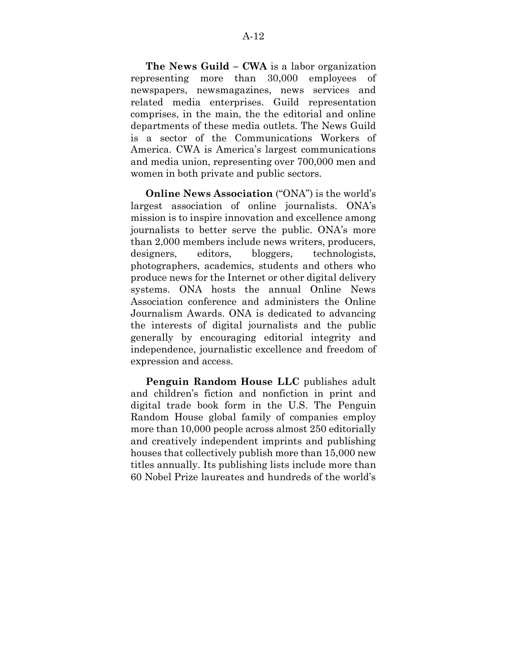**The News Guild – CWA** is a labor organization representing more than 30,000 employees of newspapers, newsmagazines, news services and related media enterprises. Guild representation comprises, in the main, the the editorial and online departments of these media outlets. The News Guild is a sector of the Communications Workers of America. CWA is America's largest communications and media union, representing over 700,000 men and women in both private and public sectors.

**Online News Association** ("ONA") is the world's largest association of online journalists. ONA's mission is to inspire innovation and excellence among journalists to better serve the public. ONA's more than 2,000 members include news writers, producers, designers, editors, bloggers, technologists, photographers, academics, students and others who produce news for the Internet or other digital delivery systems. ONA hosts the annual Online News Association conference and administers the Online Journalism Awards. ONA is dedicated to advancing the interests of digital journalists and the public generally by encouraging editorial integrity and independence, journalistic excellence and freedom of expression and access.

**Penguin Random House LLC** publishes adult and children's fiction and nonfiction in print and digital trade book form in the U.S. The Penguin Random House global family of companies employ more than 10,000 people across almost 250 editorially and creatively independent imprints and publishing houses that collectively publish more than 15,000 new titles annually. Its publishing lists include more than 60 Nobel Prize laureates and hundreds of the world's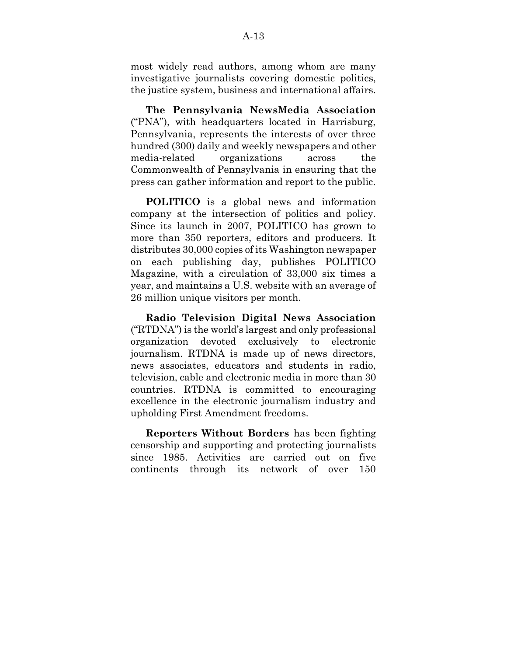most widely read authors, among whom are many investigative journalists covering domestic politics, the justice system, business and international affairs.

**The Pennsylvania NewsMedia Association** ("PNA"), with headquarters located in Harrisburg, Pennsylvania, represents the interests of over three hundred (300) daily and weekly newspapers and other media-related organizations across the Commonwealth of Pennsylvania in ensuring that the press can gather information and report to the public.

**POLITICO** is a global news and information company at the intersection of politics and policy. Since its launch in 2007, POLITICO has grown to more than 350 reporters, editors and producers. It distributes 30,000 copies of its Washington newspaper on each publishing day, publishes POLITICO Magazine, with a circulation of 33,000 six times a year, and maintains a U.S. website with an average of 26 million unique visitors per month.

**Radio Television Digital News Association** ("RTDNA") is the world's largest and only professional organization devoted exclusively to electronic journalism. RTDNA is made up of news directors, news associates, educators and students in radio, television, cable and electronic media in more than 30 countries. RTDNA is committed to encouraging excellence in the electronic journalism industry and upholding First Amendment freedoms.

**Reporters Without Borders** has been fighting censorship and supporting and protecting journalists since 1985. Activities are carried out on five continents through its network of over 150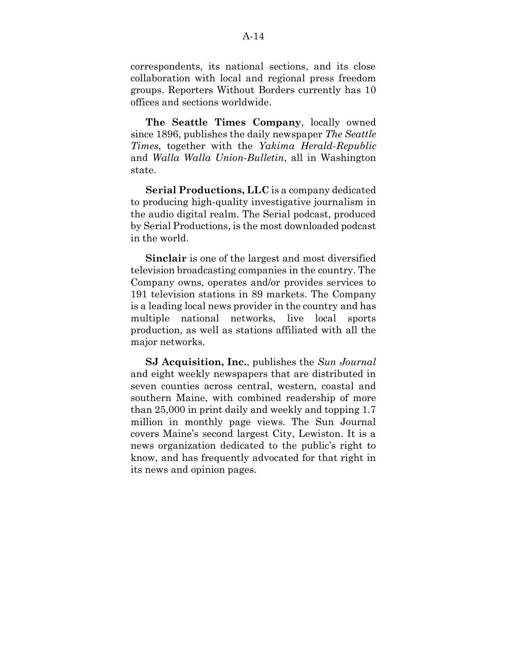correspondents, its national sections, and its close collaboration with local and regional press freedom groups. Reporters Without Borders currently has 10 offices and sections worldwide.

**The Seattle Times Company**, locally owned since 1896, publishes the daily newspaper *The Seattle Times*, together with the *Yakima Herald-Republic* and *Walla Walla Union-Bulletin*, all in Washington state.

**Serial Productions, LLC** is a company dedicated to producing high-quality investigative journalism in the audio digital realm. The Serial podcast, produced by Serial Productions, is the most downloaded podcast in the world.

**Sinclair** is one of the largest and most diversified television broadcasting companies in the country. The Company owns, operates and/or provides services to 191 television stations in 89 markets. The Company is a leading local news provider in the country and has multiple national networks, live local sports production, as well as stations affiliated with all the major networks.

**SJ Acquisition, Inc.**, publishes the *Sun Journal* and eight weekly newspapers that are distributed in seven counties across central, western, coastal and southern Maine, with combined readership of more than 25,000 in print daily and weekly and topping 1.7 million in monthly page views. The Sun Journal covers Maine's second largest City, Lewiston. It is a news organization dedicated to the public's right to know, and has frequently advocated for that right in its news and opinion pages.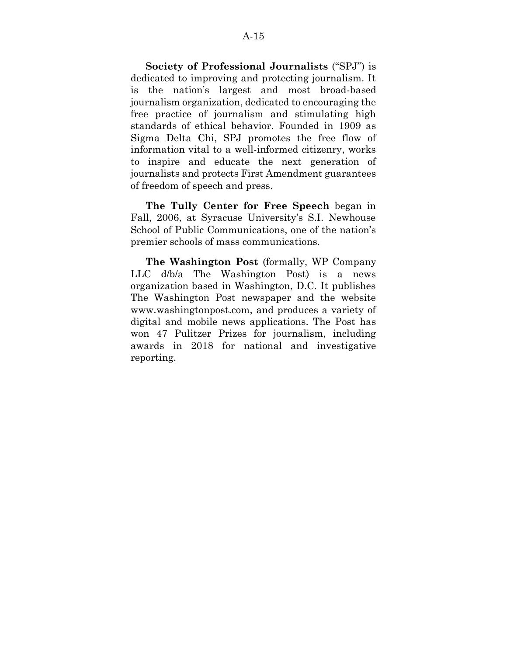**Society of Professional Journalists** ("SPJ") is dedicated to improving and protecting journalism. It is the nation's largest and most broad-based journalism organization, dedicated to encouraging the free practice of journalism and stimulating high standards of ethical behavior. Founded in 1909 as Sigma Delta Chi, SPJ promotes the free flow of information vital to a well-informed citizenry, works to inspire and educate the next generation of journalists and protects First Amendment guarantees of freedom of speech and press.

**The Tully Center for Free Speech** began in Fall, 2006, at Syracuse University's S.I. Newhouse School of Public Communications, one of the nation's premier schools of mass communications.

**The Washington Post** (formally, WP Company LLC d/b/a The Washington Post) is a news organization based in Washington, D.C. It publishes The Washington Post newspaper and the website www.washingtonpost.com, and produces a variety of digital and mobile news applications. The Post has won 47 Pulitzer Prizes for journalism, including awards in 2018 for national and investigative reporting.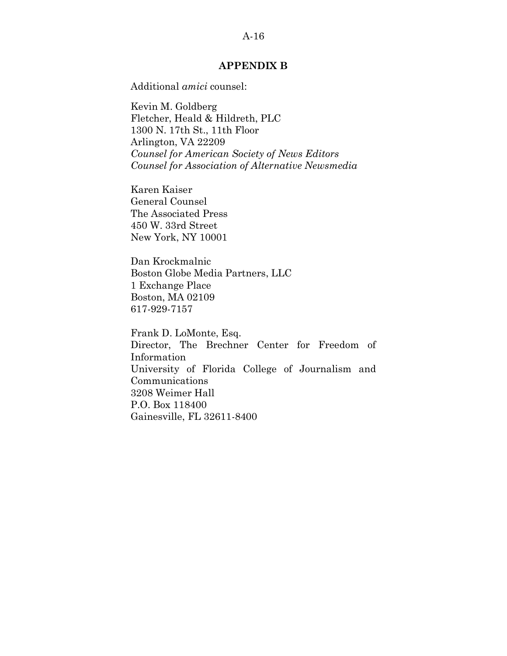### A-16

### **APPENDIX B**

<span id="page-43-0"></span>Additional *amici* counsel:

Kevin M. Goldberg Fletcher, Heald & Hildreth, PLC 1300 N. 17th St., 11th Floor Arlington, VA 22209 *Counsel for American Society of News Editors Counsel for Association of Alternative Newsmedia*

Karen Kaiser General Counsel The Associated Press 450 W. 33rd Street New York, NY 10001

Dan Krockmalnic Boston Globe Media Partners, LLC 1 Exchange Place Boston, MA 02109 617-929-7157

Frank D. LoMonte, Esq. Director, The Brechner Center for Freedom of Information University of Florida College of Journalism and Communications 3208 Weimer Hall P.O. Box 118400 Gainesville, FL 32611-8400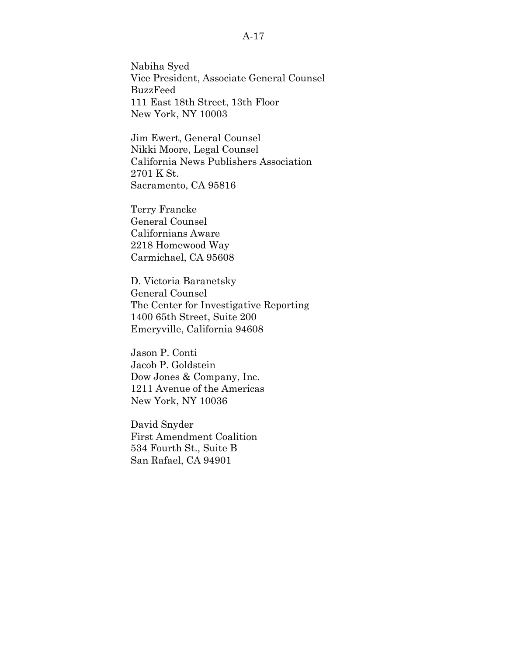### A-17

Nabiha Syed Vice President, Associate General Counsel BuzzFeed 111 East 18th Street, 13th Floor New York, NY 10003

Jim Ewert, General Counsel Nikki Moore, Legal Counsel California News Publishers Association 2701 K St. Sacramento, CA 95816

Terry Francke General Counsel Californians Aware 2218 Homewood Way Carmichael, CA 95608

D. Victoria Baranetsky General Counsel The Center for Investigative Reporting 1400 65th Street, Suite 200 Emeryville, California 94608

Jason P. Conti Jacob P. Goldstein Dow Jones & Company, Inc. 1211 Avenue of the Americas New York, NY 10036

David Snyder First Amendment Coalition 534 Fourth St., Suite B San Rafael, CA 94901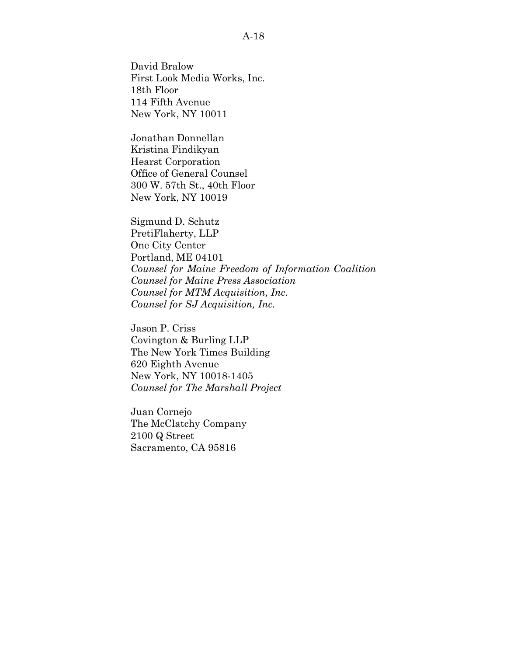David Bralow First Look Media Works, Inc. 18th Floor 114 Fifth Avenue New York, NY 10011

Jonathan Donnellan Kristina Findikyan Hearst Corporation Office of General Counsel 300 W. 57th St., 40th Floor New York, NY 10019

Sigmund D. Schutz PretiFlaherty, LLP One City Center Portland, ME 04101 *Counsel for Maine Freedom of Information Coalition Counsel for Maine Press Association Counsel for MTM Acquisition, Inc. Counsel for SJ Acquisition, Inc.*

Jason P. Criss Covington & Burling LLP The New York Times Building 620 Eighth Avenue New York, NY 10018-1405 *Counsel for The Marshall Project*

Juan Cornejo The McClatchy Company 2100 Q Street Sacramento, CA 95816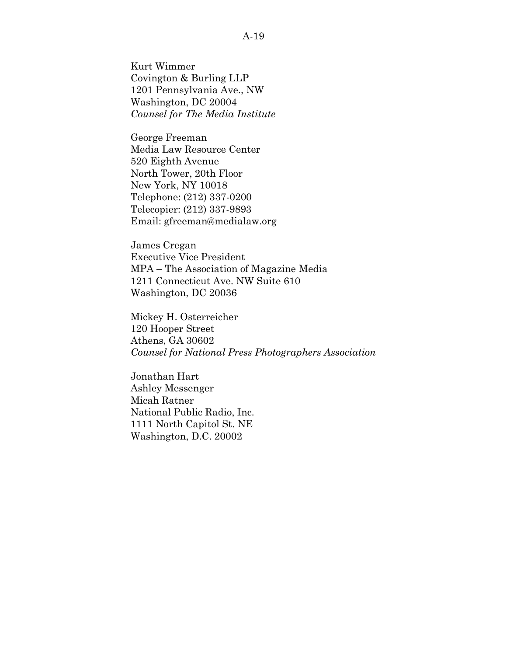Kurt Wimmer Covington & Burling LLP 1201 Pennsylvania Ave., NW Washington, DC 20004 *Counsel for The Media Institute*

George Freeman Media Law Resource Center 520 Eighth Avenue North Tower, 20th Floor New York, NY 10018 Telephone: (212) 337-0200 Telecopier: (212) 337-9893 Email: gfreeman@medialaw.org

James Cregan Executive Vice President MPA – The Association of Magazine Media 1211 Connecticut Ave. NW Suite 610 Washington, DC 20036

Mickey H. Osterreicher 120 Hooper Street Athens, GA 30602 *Counsel for National Press Photographers Association*

Jonathan Hart Ashley Messenger Micah Ratner National Public Radio, Inc. 1111 North Capitol St. NE Washington, D.C. 20002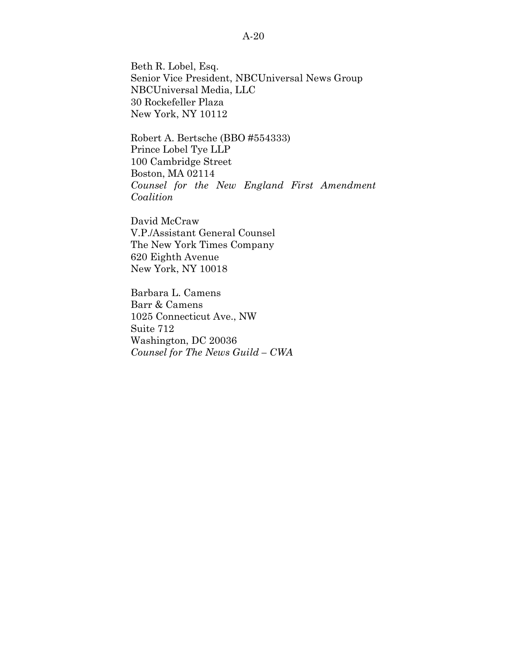Beth R. Lobel, Esq. Senior Vice President, NBCUniversal News Group NBCUniversal Media, LLC 30 Rockefeller Plaza New York, NY 10112

Robert A. Bertsche (BBO #554333) Prince Lobel Tye LLP 100 Cambridge Street Boston, MA 02114 *Counsel for the New England First Amendment Coalition*

David McCraw V.P./Assistant General Counsel The New York Times Company 620 Eighth Avenue New York, NY 10018

Barbara L. Camens Barr & Camens 1025 Connecticut Ave., NW Suite 712 Washington, DC 20036 *Counsel for The News Guild – CWA*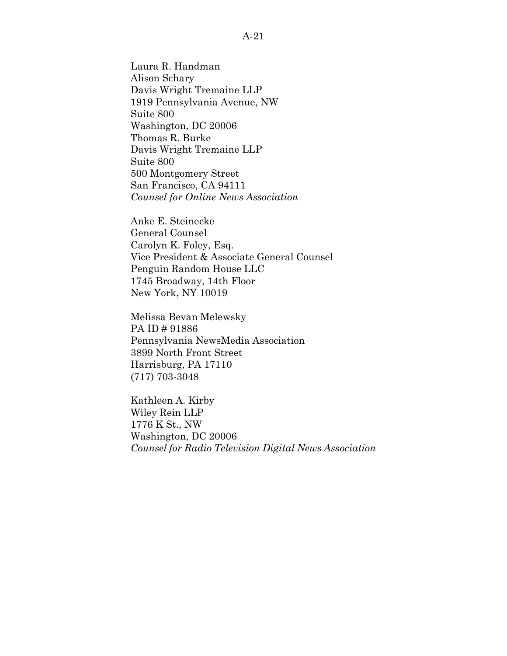Laura R. Handman Alison Schary Davis Wright Tremaine LLP 1919 Pennsylvania Avenue, NW Suite 800 Washington, DC 20006 Thomas R. Burke Davis Wright Tremaine LLP Suite 800 500 Montgomery Street San Francisco, CA 94111 *Counsel for Online News Association*

Anke E. Steinecke General Counsel Carolyn K. Foley, Esq. Vice President & Associate General Counsel Penguin Random House LLC 1745 Broadway, 14th Floor New York, NY 10019

Melissa Bevan Melewsky PA ID # 91886 Pennsylvania NewsMedia Association 3899 North Front Street Harrisburg, PA 17110 (717) 703-3048

Kathleen A. Kirby Wiley Rein LLP 1776 K St., NW Washington, DC 20006 *Counsel for Radio Television Digital News Association*